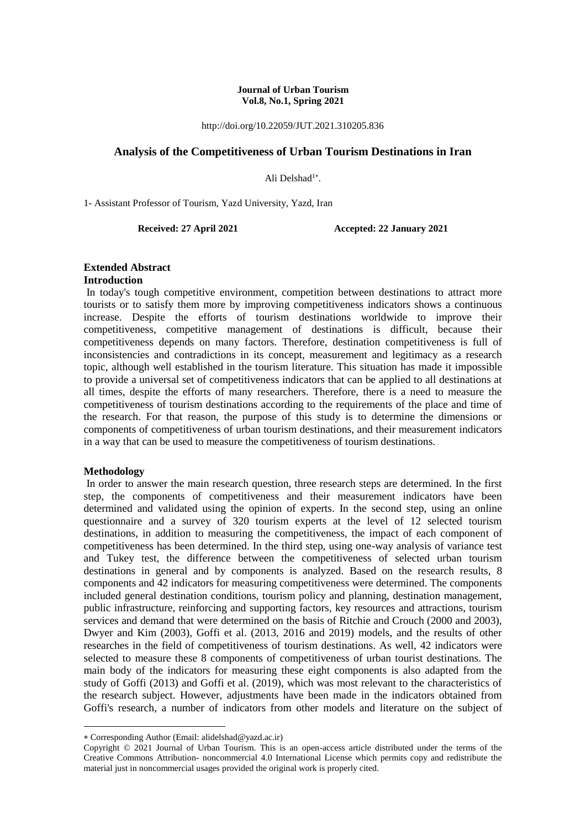### **Journal of Urban Tourism Vol.8, No.1, Spring 2021**

http://doi.org/10.22059/JUT.2021.310205.836

## **Analysis of the Competitiveness of Urban Tourism Destinations in Iran**

Ali Delshad<sup>1\*</sup>.

1- Assistant Professor of Tourism, Yazd University, Yazd, Iran

Received: 27 April 2021 **Accepted: 22 January 2021** 

### **Extended Abstract**

#### **Introduction**

In today's tough competitive environment, competition between destinations to attract more tourists or to satisfy them more by improving competitiveness indicators shows a continuous increase. Despite the efforts of tourism destinations worldwide to improve their competitiveness, competitive management of destinations is difficult, because their competitiveness depends on many factors. Therefore, destination competitiveness is full of inconsistencies and contradictions in its concept, measurement and legitimacy as a research topic, although well established in the tourism literature. This situation has made it impossible to provide a universal set of competitiveness indicators that can be applied to all destinations at all times, despite the efforts of many researchers. Therefore, there is a need to measure the competitiveness of tourism destinations according to the requirements of the place and time of the research. For that reason, the purpose of this study is to determine the dimensions or components of competitiveness of urban tourism destinations, and their measurement indicators in a way that can be used to measure the competitiveness of tourism destinations.

### **Methodology**

1

In order to answer the main research question, three research steps are determined. In the first step, the components of competitiveness and their measurement indicators have been determined and validated using the opinion of experts. In the second step, using an online questionnaire and a survey of 320 tourism experts at the level of 12 selected tourism destinations, in addition to measuring the competitiveness, the impact of each component of competitiveness has been determined. In the third step, using one-way analysis of variance test and Tukey test, the difference between the competitiveness of selected urban tourism destinations in general and by components is analyzed. Based on the research results, 8 components and 42 indicators for measuring competitiveness were determined. The components included general destination conditions, tourism policy and planning, destination management, public infrastructure, reinforcing and supporting factors, key resources and attractions, tourism services and demand that were determined on the basis of Ritchie and Crouch (2000 and 2003), Dwyer and Kim (2003), Goffi et al. (2013, 2016 and 2019) models, and the results of other researches in the field of competitiveness of tourism destinations. As well, 42 indicators were selected to measure these 8 components of competitiveness of urban tourist destinations. The main body of the indicators for measuring these eight components is also adapted from the study of Goffi (2013) and Goffi et al. (2019), which was most relevant to the characteristics of the research subject. However, adjustments have been made in the indicators obtained from Goffi's research, a number of indicators from other models and literature on the subject of

Corresponding Author (Email: alidelshad@yazd.ac.ir)

Copyright © 2021 Journal of Urban Tourism. This is an open-access article distributed under the terms of the Creative Commons Attribution- noncommercial 4.0 International License which permits copy and redistribute the material just in noncommercial usages provided the original work is properly cited.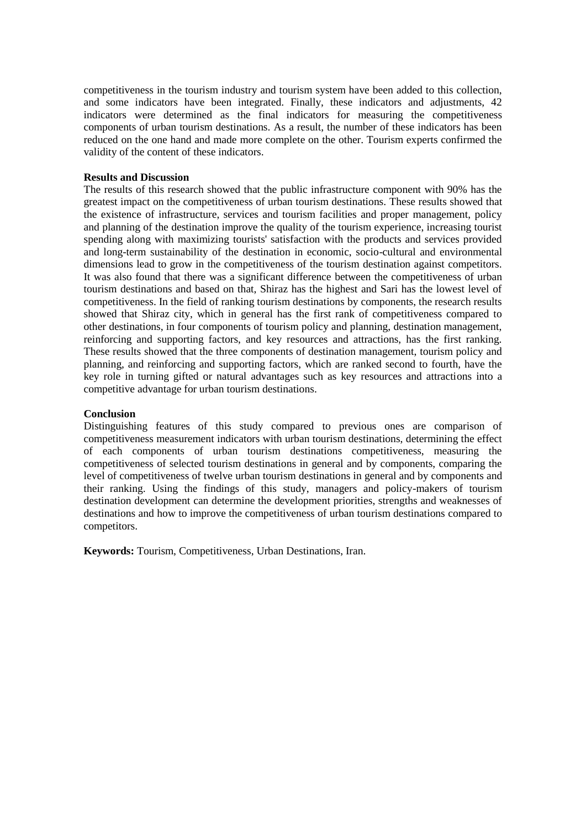competitiveness in the tourism industry and tourism system have been added to this collection, and some indicators have been integrated. Finally, these indicators and adjustments, 42 indicators were determined as the final indicators for measuring the competitiveness components of urban tourism destinations. As a result, the number of these indicators has been reduced on the one hand and made more complete on the other. Tourism experts confirmed the validity of the content of these indicators.

### **Results and Discussion**

The results of this research showed that the public infrastructure component with 90% has the greatest impact on the competitiveness of urban tourism destinations. These results showed that the existence of infrastructure, services and tourism facilities and proper management, policy and planning of the destination improve the quality of the tourism experience, increasing tourist spending along with maximizing tourists' satisfaction with the products and services provided and long-term sustainability of the destination in economic, socio-cultural and environmental dimensions lead to grow in the competitiveness of the tourism destination against competitors. It was also found that there was a significant difference between the competitiveness of urban tourism destinations and based on that, Shiraz has the highest and Sari has the lowest level of competitiveness. In the field of ranking tourism destinations by components, the research results showed that Shiraz city, which in general has the first rank of competitiveness compared to other destinations, in four components of tourism policy and planning, destination management, reinforcing and supporting factors, and key resources and attractions, has the first ranking. These results showed that the three components of destination management, tourism policy and planning, and reinforcing and supporting factors, which are ranked second to fourth, have the key role in turning gifted or natural advantages such as key resources and attractions into a competitive advantage for urban tourism destinations.

## **Conclusion**

Distinguishing features of this study compared to previous ones are comparison of competitiveness measurement indicators with urban tourism destinations, determining the effect of each components of urban tourism destinations competitiveness, measuring the competitiveness of selected tourism destinations in general and by components, comparing the level of competitiveness of twelve urban tourism destinations in general and by components and their ranking. Using the findings of this study, managers and policy-makers of tourism destination development can determine the development priorities, strengths and weaknesses of destinations and how to improve the competitiveness of urban tourism destinations compared to competitors.

**Keywords:** Tourism, Competitiveness, Urban Destinations, Iran.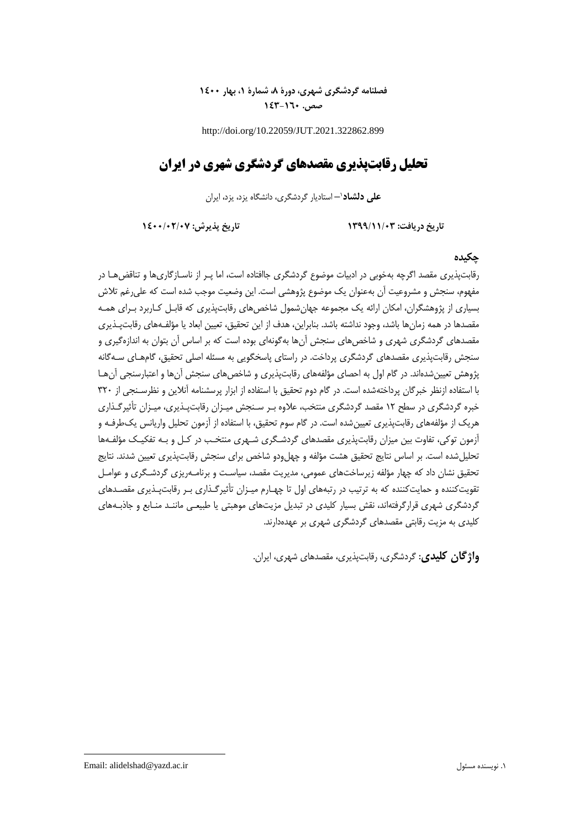# **فصلنامه گردشگری شهری، دورۀ ،8 شمارۀ ،1 بهار 1400 صص. 143-160**

http://doi.org/10.22059/JUT.2021.322862.899

# **تحلیل رقابتپذیری مقصدهای گردشگری شهری در ایران**

**–** استادیار گردشگری، دانشگاه یزد، یزد، ایران <sup>1</sup> **علی دلشاد**

**تاریخ دریافت: 1399/11/03 تاریخ پذیرش: 1400/02/07**

## **چکیده**

رقابتپذیری مقصد اگرچه بهخوبی در ادبیات موضوع گردشگری جاافتاده است، اما پـر از ناسـازگاریها و تناقضهـا در مفهوم، سنجش و مشروعیت آن بهعنوان یک موضوع پژوهشی است. این وضعیت موجب شده است که علیرغم تالش بسیاری از پژوهشگران، امکان ارائه یک مجموعه جهانشمول شاخصهای رقابتپذیری که قابـل کـاربرد بـرای همـه مقصدها در همه زمانها باشد، وجود نداشته باشد. بنابراین، هدف از این تحقیق، تعیین ابعاد یا مؤلفـههای رقابتپـذیری مقصدهای گردشگری شهری و شاخصهای سنجش آنها بهگونهای بوده است که بر اساس آن بتوان به اندازهگیری و سنجش رقابتپذیری مقصدهای گردشگری پرداخت. در راستای پاسخگویی به مسئله اصلی تحقیق، گامهـای سـهگانه پژوهش تعیینشدهاند. در گام اول به احصای مؤلفههای رقابتپذیری و شاخصهای سنجش آنها و اعتبارسنجی آنهـا با استفاده ازنظر خبرگان پرداختهشده است. در گام دوم تحقیق با استفاده از ابزار پرسشنامه آنالین و نظرسـنجی از 320 خبره گردشگری در سطح 12 مقصد گردشگری منتخب، عالوه بـر سـنجش میـزان رقابتپـذیری، میـزان تأثیرگـذاری هریک از مؤلفههای رقابتپذیری تعیینشده است. در گام سوم تحقیق، با استفاده از آزمون تحلیل واریانس یکطرفـه و آزمون توکی، تفاوت بین میزان رقابتپذیری مقصدهای گردشـگری شـهری منتخـب در کـل و بـه تفکیـک مؤلفـهها تحلیلشده است. بر اساس نتایج تحقیق هشت مؤلفه و چهلودو شاخص برای سنجش رقابتپذیری تعیین شدند. نتایج تحقیق نشان داد که چهار مؤلفه زیرساختهای عمومی، مدیریت مقصد، سیاسـت و برنامـهریزی گردشـگری و عوامـل تقویتکننده و حمایتکننده که به ترتیب در رتبههای اول تا چهـارم میـزان تأثیرگـذاری بـر رقابتپـذیری مقصـدهای گردشگری شهری قرارگرفتهاند، نقش بسیار کلیدی در تبدیل مزیتهای موهبتی یا طبیعـی ماننـد منـابع و جاذبـههای کلیدی به مزیت رقابتی مقصدهای گردشگری شهری بر عهدهدارند.

**واژگان کلیدی**: گردشگری، رقابتپذیری، مقصدهای شهری، ایران.

1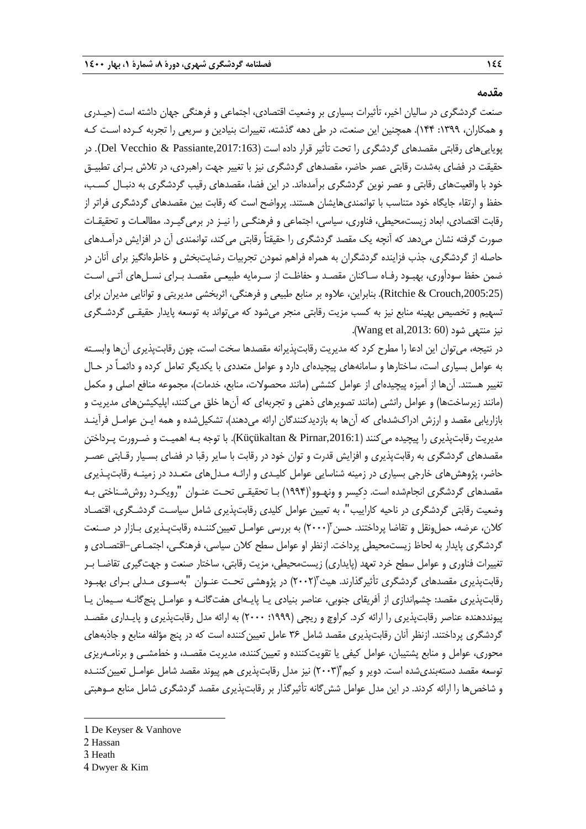**مقدمه**

صنعت گردشگری در سالیان اخیر، تأثیرات بسیاری بر وضعیت اقتصادی، اجتماعی و فرهنگی جهان داشته است )حیـدری و همکاران، :1399 144(. همچنین این صنعت، در طی دهه گذشته، تغییرات بنیادین و سریعی را تجربه کـرده اسـت کـه پویاییهای رقابتی مقصدهای گردشگری را تحت تأثیر قرار داده است (Del Vecchio & Passiante,2017:163). در حقیقت در فضای بهشدت رقابتی عصر حاضر، مقصدهای گردشگری نیز با تغییر جهت راهبردی، در تالش بـرای تطبیـق خود با واقعیتهای رقابتی و عصر نوین گردشگری برآمدهاند. در این فضا، مقصدهای رقیب گردشگری به دنبـال کسـب، حفظ و ارتقار جایگاه خود متناسب با توانمندیهایشان هستند. پرواضح است که رقابت بین مقصدهای گردشگری فراتر از رقابت اقتصادی، ابعاد زیستمحیطی، فناوری، سیاسی، اجتماعی و فرهنگـی را نیـز در برمیگیـرد. مطالعـات و تحقیقـات صورت گرفته نشان میدهد که آنچه یک مقصد گردشگری را حقیقتاً رقابتی میکند، توانمندی آن در افزایش درآمـدهای حاصله از گردشگری، جذب فزاینده گردشگران به همراه فراهم نمودن تجربیات رضایتبخش و خاطرهانگیز برای آنان در ضمن حفظ سودآوری، بهبـود رفـاه سـاکنان مقصـد و حفاظـت از سـرمایه طبیعـی مقصـد بـرای نسـلهای آتـی اسـت ),2005:25Crouch & Ritchie). بنابراین، عالوه بر منابع طبیعی و فرهنگی، اثربخشی مدیریتی و توانایی مدیران برای تسهیم و تخصیص بهینه منابع نیز به کسب مزیت رقابتی منجر میشود که میتواند به توسعه پایدار حقیقـی گردشـگری نیز منتهی شود (Wang et al,2013: 60).

در نتیجه، میتوان این ادعا را مطرح کرد که مدیریت رقابتپذیرانه مقصدها سخت است، چون رقابتپذیری آنها وابسـته به عوامل بسیاری است، ساختارها و سامانههای پیچیدهای دارد و عوامل متعددی با یکدیگر تعامل کرده و دائمـاً در حـال تغییر هستند. آنها از آمیزه پیچیدهای از عوامل کششی (مانند محصولات، منابع، خدمات)، مجموعه منافع اصلی و مکمل (مانند زیرساختها) و عوامل رانشی (مانند تصویرهای ذهنی و تجربهای که آنها خلق میکنند، اپلیکیشنهای مدیریت و بازاریابی مقصد و ارزش ادراکشدهای که آنها به بازدیدکنندگان ارائه میدهند)، تشکیلشده و همه ایـن عوامـل فرآینـد مدیریت رقابتپذیری را پیچیده میکنند ),2016:1Pirnar & Küçükaltan). با توجه بـه اهمیـت و ضـرورت پـرداختن مقصدهای گردشگری به رقابتپذیری و افزایش قدرت و توان خود در رقابت با سایر رقبا در فضای بسـیار رقـابتی عصـر حاضر، پژوهشهای خارجی بسیاری در زمینه شناسایی عوامل کلیـدی و ارائـه مـدلهای متعـدد در زمینـه رقابتپـذیری مقصدهای گردشگری انجامشده است. دِکیسر و ونهـوو`(۱۹۹۴) بـا تحقیقـی تحـت عنـوان "رویکـرد روششـناختی بـه وضعیت رقابتی گردشگری در ناحیه کاراییب"، به تعیین عوامل کلیدی رقابتپذیری شامل سیاسـت گردشـگری، اقتصـاد کلان، عرضه، حملونقل و تقاضا پرداختند. حسن ۲۰۰۰) به بررسی عوامـل تعیینکننـده رقابتپـذیری بـازار در صـنعت گردشگری پایدار به لحاظ زیستمحیطی پرداخت. ازنظر او عوامل سطح کالن سیاسی، فرهنگـی، اجتمـاعی-اقتصـادی و تغییرات فناوری و عوامل سطح خرد تعهد (پایداری) زیستمحیطی، مزیت رقابتی، ساختار صنعت و جهتگیری تقاضـا بـر رقابتپذیری مقصدهای گردشگری تأثیرگذارند. هیث (۲۰۰۲) در پژوهشی تحـت عنـوان "بهسـوی مـدلی بـرای بهبـود رقابتپذیری مقصد: چشماندازی از آفریقای جنوبی، عناصر بنیادی یـا پایـهای هفتگانـه و عوامـل پنجگانـه سـیمان یـا پیونددهنده عناصر رقابتپذیری را ارائه کرد. کراوچ و ریچی )1999؛ 2000( به ارائه مدل رقابتپذیری و پایـداری مقصـد گردشگری پرداختند. ازنظر آنان رقابتپذیری مقصد شامل 36 عامل تعیینکننده است که در پنج مؤلفه منابع و جاذبههای محوری، عوامل و منابع پشتیبان، عوامل کیفی یا تقویتکننده و تعیینکننده، مدیریت مقصـد، و خطمشـی و برنامـهریزی نوسعه مقصد دستهبندیشده است. دویر و کیم\*(۲۰۰۳) نیز مدل رقابتپذیری هم پیوند مقصد شامل عوامـل تعیینکننـده و شاخصها را ارائه کردند. در این مدل عوامل ششگانه تأثیرگذار بر رقابتپذیری مقصد گردشگری شامل منابع مـوهبتی

2. Hassan

-

- 3. Heath
- 4. Dwyer & Kim

<sup>1</sup>. De Keyser & Vanhove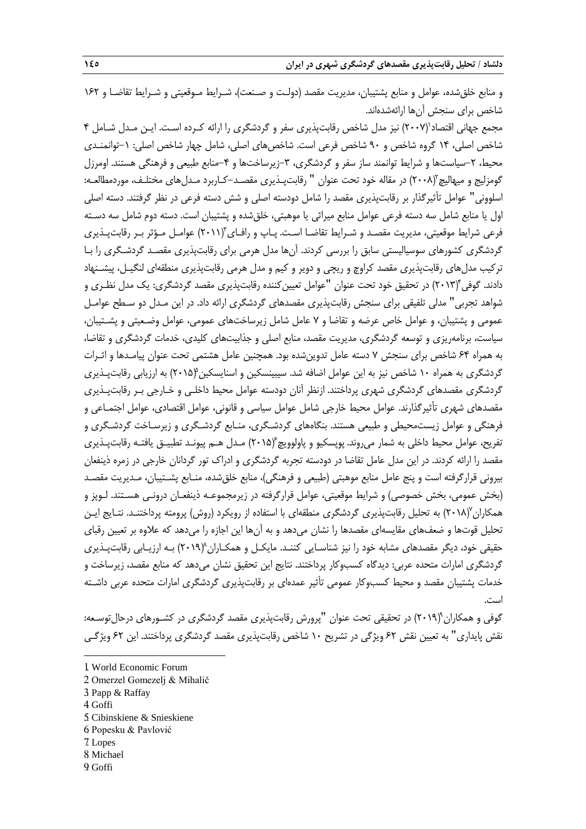و منابع خلق شده، عوامل و منابع پشتیبان، مدیریت مقصد (دولـت و صـنعت)، شـرایط مـوقعیتی و شـرایط تقاضـا و ۱۶۲ شاخص برای سنجش آنها ارائهشدهاند.

مجمع جهانی اقتصاد $( \mathbf{Y} \cdot \mathbf{Y} )$  نیز مدل شاخص رقابتپذیری سفر و گردشگری را ارائه کـرده اسـت. ایـن مـدل شـامل ۴ شاخص اصلی، 14 گروه شاخص و 90 شاخص فرعی است. شاخصهای اصلی، شامل چهار شاخص اصلی: -1توانمنـدی محیط، ۲-سیاستها و شرایط توانمند ساز سفر و گردشگری، ۳-زیرساختها و ۴-منابع طبیعی و فرهنگی هستند. اومرزل گومزلیج و میهالیچ`(۲۰۰۸) در مقاله خود تحت عنوان " رقابتپـذیری مقصـد–کـاربرد مـدلهای مختلـف، موردمطالعـه: اسلوونی" عوامل تأثیرگذار بر رقابتپذیری مقصد را شامل دودسته اصلی و شش دسته فرعی در نظر گرفتند. دسته اصلی اول یا منابع شامل سه دسته فرعی عوامل منابع میراثی یا موهبتی، خلقشده و پشتیبان است. دسته دوم شامل سه دسـته فرعی شرایط موقعیتی، مدیریت مقصـد و شـرایط تقاضـا اسـت. پـاپ و رافـای (۲۰۱۱) عوامـل مـؤثر بـر رقابت<code>یـذیری</code> گردشگری کشورهای سوسیالیستی سابق را بررسی کردند. آنها مدل هرمی برای رقابتپذیری مقصـد گردشـگری را بـا ترکیب مدلهای رقابتپذیری مقصد کراوچ و ریچی و دویر و کیم و مدل هرمی رقابتپذیری منطقهای لنگیـل، پیشـنهاد دادند. گوفی ۲۰۱۳) در تحقیق خود تحت عنوان "عوامل تعیین کننده رقابتپذیری مقصد گردشگری: یک مدل نظـری و شواهد تجربی" مدلی تلفیقی برای سنجش رقابتپذیری مقصدهای گردشگری ارائه داد. در این مـدل دو سـطح عوامـل عمومی و پشتیبان، و عوامل خاص عرضه و تقاضا و 7 عامل شامل زیرساختهای عمومی، عوامل وضـعیتی و پشـتیبان، سیاست، برنامهریزی و توسعه گردشگری، مدیریت مقصد، منابع اصلی و جذابیتهای کلیدی، خدمات گردشگری و تقاضا، به همراه 64 شاخص برای سنجش 7 دسته عامل تدوینشده بود. همچنین عامل هشتمی تحت عنوان پیامـدها و اثـرات گردشگری به همراه ۱۰ شاخص نیز به این عوامل اضافه شد. سیبینسکین و اسنایسکین (۲۰۱۵) به ارزیابی رقابت پـذیری گردشگری مقصدهای گردشگری شهری پرداختند. ازنظر آنان دودسته عوامل محیط داخلـی و خـارجی بـر رقابت<code>پـذیری</code> مقصدهای شهری تأثیرگذارند. عوامل محیط خارجی شامل عوامل سیاسی و قانونی، عوامل اقتصادی، عوامل اجتمـاعی و فرهنگی و عوامل زیستمحیطی و طبیعی هستند. بنگاههای گردشـگری، منـابع گردشـگری و زیرسـاخت گردشـگری و تفریح، عوامل محیط داخلی به شمار میروند. پوپسکیو و پاولوویچ؟(۲۰۱۵) مـدل هـم پیونـد تطبیـق یافتـه رقابتپـذیری مقصد را ارائه کردند. در این مدل عامل تقاضا در دودسته تجربه گردشگری و ادراك تور گردانان خارجی در زمره ذینفعان بیرونی قرارگرفته است و پنج عامل منابع موهبتی (طبیعی و فرهنگی)، منابع خلقشده، منـابع پشـتیبان، مـدیریت مقصـد (بخش عمومی، بخش خصوصی) و شرایط موقعیتی، عوامل قرارگرفته در زیرمجموعـه ذینفعـان درونـی هسـتند. لـوپز و همکاران (۲۰۱۸) به تحلیل رقابتپذیری گردشگری منطقهای با استفاده از رویکرد (روش) پرومته پرداختنـد. نتـایج ایـن تحلیل قوتها و ضعفهای مقایسهای مقصدها را نشان میدهد و به آنها این اجازه را میدهد که عالوه بر تعیین رقبای حقیقی خود، دیگر مقصدهای مشابه خود را نیز شناسـایی کننـد. مایکـل و همکـاران^(۲۰۱۹) بـه ارزیـابی رقابت<code>پـذیری</code> گردشگری امارات متحده عربی: دیدگاه کسبوکار پرداختند. نتایج این تحقیق نشان میدهد که منابع مقصد، زیرساخت و خدمات پشتیبان مقصد و محیط کسبوکار عمومی تأثیر عمدهای بر رقابتپذیری گردشگری امارات متحده عربی داشـته است.

گوفی و همکاران °(۲۰۱۹) در تحقیقی تحت عنوان "پرورش رقابتپذیری مقصد گردشگری در کشـورهای درحالتوسـعه: نقش پایداری" به تعیین نقش 62 ویژگی در تشریح 10 شاخص رقابتپذیری مقصد گردشگری پرداختند. این 62 ویژگـی

- 2. Omerzel Gomezelj & Mihalič
- 3. Papp & Raffay
- 4. Goffi

**.** 

- 5. Cibinskiene & Snieskiene
- 6. Popesku & Pavlović
- 7. Lopes
- 8. Michael
- 9. Goffi

<sup>1</sup>. World Economic Forum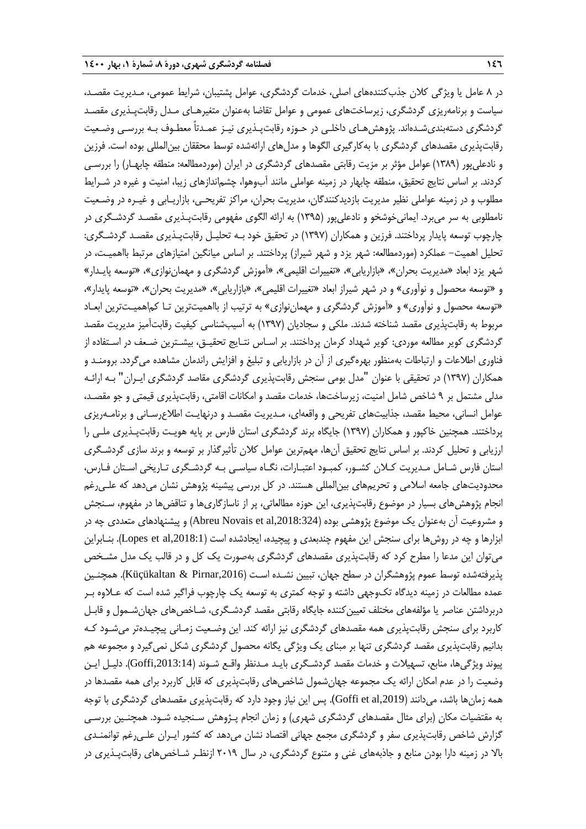در ۸ عامل یا ویژگی کلان جذبکنندههای اصلی، خدمات گردشگری، عوامل پشتیبان، شرایط عمومی، مـدیریت مقصـد، سیاست و برنامهریزی گردشگری، زیرساختهای عمومی و عوامل تقاضا بهعنوان متغیرهـای مـدل رقابتپـذیری مقصـد گردشگری دستهبندیشـدهاند. پژوهشهـای داخلـی در حـوزه رقابتپـذیری نیـز عمـدتاً معطـوف بـه بررسـی وضـعیت رقابتپذیری مقصدهای گردشگری با بهکارگیری الگوها و مدلهای ارائهشده توسط محققان بین|لمللی بوده است. فرزین و نادعلیپور )1389(عوامل مؤثر بر مزیت رقابتی مقصدهای گردشگری در ایران )موردمطالعه: منطقه چابهـار( را بررسـی کردند. بر اساس نتایج تحقیق، منطقه چابهار در زمینه عواملی مانند آبوهوا، چشماندازهای زیبا، امنیت و غیره در شـرای مطلوب و در زمینه عواملی نظیر مدیریت بازدیدکنندگان، مدیریت بحران، مراکز تفریحـی، بازاریـابی و غیـره در وضـعیت نامطلوبی به سر میبرد. ایمانیخوشخو و نادعلیپور )1395( به ارائه الگوی مفهومی رقابتپـذیری مقصـد گردشـگری در چارچوب توسعه پایدار پرداختند. فرزین و همکاران )1397( در تحقیق خود بـه تحلیـل رقابتپـذیری مقصـد گردشـگری: تحلیل اهمیت– عملکرد (موردمطالعه: شهر یزد و شهر شیراز) پرداختند. بر اساس میانگین امتیازهای مرتبط بااهمیـت، در شهر یزد ابعاد »مدیریت بحران«، »بازاریابی«، »تغییرات اقلیمی«، »آموزش گردشگری و مهماننوازی«، »توسعه پایـدار« و «توسعه محصول و نوآوری» و در شهر شیراز ابعاد «تغییرات اقلیمی»، «بازاریابی»، «مدیریت بحران»، «توسعه پایدار»، »توسعه محصول و نوآوری« و »آموزش گردشگری و مهماننوازی« به ترتیب از بااهمیتترین تـا کماهمیـتترین ابعـاد مربوط به رقابتپذیری مقصد شناخته شدند. ملکی و سجادیان )1397( به آسیبشناسی کیفیت رقابتآمیز مدیریت مقصد گردشگری کویر مطالعه موردی: کویر شهداد کرمان پرداختند. بر اسـاس نتـایج تحقیـق، بیشـترین ضـعف در اسـتفاده از فناوری اطالعات و ارتباطات بهمنظور بهرهگیری از آن در بازاریابی و تبلیغ و افزایش راندمان مشاهده میگردد. برومنـد و همکاران )1397( در تحقیقی با عنوان "مدل بومی سنجش رقابتپذیری گردشگری مقاصد گردشگری ایـران" بـه ارائـه مدلی مشتمل بر 9 شاخص شامل امنیت، زیرساختها، خدمات مقصد و امکانات اقامتی، رقابتپذیری قیمتی و جو مقصـد، عوامل انسانی، محیط مقصد، جذابیتهای تفریحی و واقعهای، مـدیریت مقصـد و درنهایـت اطلاعرسـانی و برنامـهریزی پرداختند. همچنین خاکپور و همکاران )1397( جایگاه برند گردشگری استان فارس بر پایه هویـت رقابتپـذیری ملـی را ارزیابی و تحلیل کردند. بر اساس نتایج تحقیق آنها، مهمترین عوامل کالن تأثیرگذار بر توسعه و برند سازی گردشـگری استان فارس شـامل مـدیریت کـالن کشـور، کمبـود اعتبـارات، نگـاه سیاسـی بـه گردشـگری تـاریخی اسـتان فـارس، محدودیتهای جامعه اسالمی و تحریمهای بینالمللی هستند. در کل بررسی پیشینه پژوهش نشان میدهد که علـیرغم انجام پژوهشهای بسیار در موضوع رقابتپذیری، این حوزه مطالعاتی، پر از ناسازگاریها و تناقضها در مفهوم، سـنجش و مشروعیت آن بهعنوان یک موضوع پژوهشی بوده (324:Abreu Novais et al,2018) و پیشنهادهای متعددی چه در ابزارها و چه در روش@ا برای سنجش این مفهوم چندبعدی و پیچیده، ایجادشده است (Lopes et al,2018:1). بنـابراین میتوان این مدعا را مطرح کرد که رقابتپذیری مقصدهای گردشگری بهصورت یک کل و در قالب یک مدل مشـخص پذیرفتهشده توسط عموم پژوهشگران در سطح جهان، تبیین نشـده اسـت (Küçükaltan & Pirnar,2016). همچنـین عمده مطالعات در زمینه دیدگاه تکوجهی داشته و توجه کمتری به توسعه یک چارچوب فراگیر شده است که عـالوه بـر دربرداشتن عناصر یا مؤلفههای مختلف تعیین کننده جایگاه رقابتی مقصد گردشـگری، شـاخص۵های جهان٬شـمول و قابـل کاربرد برای سنجش رقابتپذیری همه مقصدهای گردشگری نیز ارائه کند. این وضـعیت زمـانی پیچیـدهتر میشـود کـه بدانیم رقابتپذیری مقصد گردشگری تنها بر مبنای یک ویژگی یگانه محصول گردشگری شکل نمیگیرد و مجموعه هم پیوند ویژگیها، منابع، تسهیالت و خدمات مقصد گردشـگری بایـد مـدنظر واقـع شـوند ),2013:14Goffi). دلیـل ایـن وضعیت را در عدم امکان ارائه یک مجموعه جهانشمول شاخصهای رقابتپذیری که قابل کاربرد برای همه مقصدها در همه زمانها باشد، میدانند (Goffi et al,2019). پس این نیاز وجود دارد که رقابتپذیری مقصدهای گردشگری با توجه به مقتضیات مکان (برای مثال مقصدهای گردشگری شهری) و زمان انجام پـژوهش سـنجیده شـود. همچنـین بررسـی گزارش شاخص رقابتپذیری سفر و گردشگری مجمع جهانی اقتصاد نشان میدهد که کشور ایـران علـیرغم توانمنـدی باال در زمینه دارا بودن منابع و جاذبههای غنی و متنوع گردشگری، در سال 2019 ازنظـر شـاخصهای رقابتپـذیری در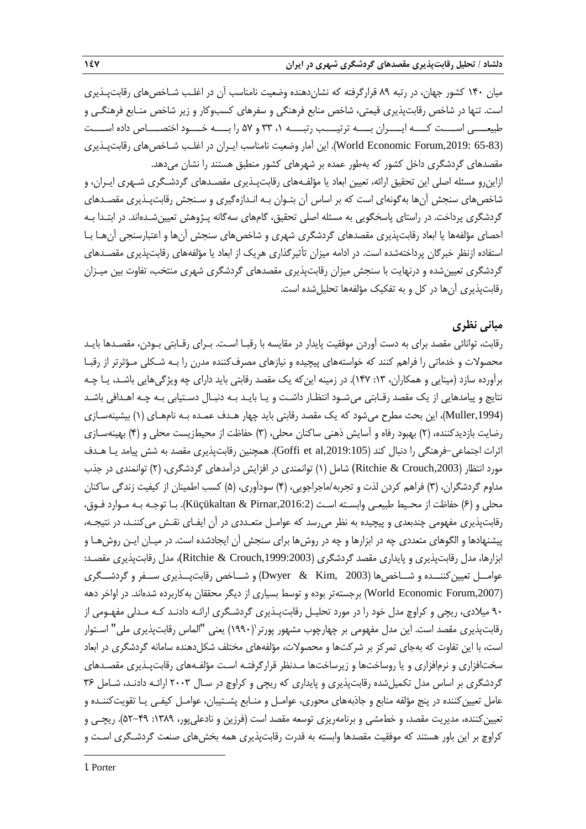میان 140 کشور جهان، در رتبه 89 قرارگرفته که نشاندهنده وضعیت نامناسب آن در اغلـب شـاخصهای رقابتپـذیری است. تنها در شاخص رقابتپذیری قیمتی، شاخص منابع فرهنگی و سفرهای کسبوکار و زیر شاخص منـابع فرهنگـی و طبیعــــی اســــت کــــه ایــــران بــــه ترتیــــب رتبــــه ،1 33 و 57 را بــــه خــــود اختصــــاص داده اســــت )65-83 ,2019:Forum Economic World). این آمار وضعیت نامناسب ایـران در اغلـب شـاخصهای رقابتپـذیری مقصدهای گردشگری داخل کشور که بهطور عمده بر شهرهای کشور منطبق هستند را نشان میدهد. ازاینرو مسئله اصلی این تحقیق ارائه، تعیین ابعاد یا مؤلفـههای رقابتپـذیری مقصـدهای گردشـگری شـهری ایـران، و شاخصهای سنجش آنها بهگونهای است که بر اساس آن بتـوان بـه انـدازهگیری و سـنجش رقابتپـذیری مقصـدهای گردشگری پرداخت. در راستای پاسخگویی به مسئله اصلی تحقیق، گامهای سهگانه پـژوهش تعیینشـدهاند. در ابتـدا بـه احصای مؤلفهها یا ابعاد رقابتپذیری مقصدهای گردشگری شهری و شاخصهای سنجش آنها و اعتبارسنجی آنهـا بـا استفاده ازنظر خبرگان پرداختهشده است. در ادامه میزان تأثیرگذاری هریک از ابعاد یا مؤلفههای رقابتپذیری مقصـدهای گردشگری تعیینشده و درنهایت با سنجش میزان رقابتپذیری مقصدهای گردشگری شهری منتخب، تفاوت بین میـزان رقابتپذیری آنها در کل و به تفکیک مؤلفهها تحلیلشده است.

# **مبانی نظری**

رقابت، توانائی مقصد برای به دست آوردن موفقیت پایدار در مقایسه با رقبـا اسـت. بـرای رقـابتی بـودن، مقصـدها بایـد محصوالت و خدماتی را فراهم کنند که خواستههای پیچیده و نیازهای مصرفکننده مدرن را بـه شـکلی مـؤثرتر از رقبـا برآورده سازد (مینایی و همکاران، ۱۳: ۱۴۷). در زمینه این که یک مقصد رقابتی باید دارای چه ویژگیهایی باشـد، یـا چـه نتایج و پیامدهایی از یک مقصد رقـابتی میشـود انتظـار داشـت و یـا بایـد بـه دنبـال دسـتیابی بـه چـه اهـدافی باشـد (Muller,1994)، این بحث مطرح می شود که یک مقصد رقابتی باید چهار هـدف عمـده بـه نامهـای (۱) بیشینهسـازی رضایت بازدیدکننده، (۲) بهبود رفاه و آسایش ذهنی ساکنان محلی، (۳) حفاظت از محیطزیست محلی و (۴) بهینهسـازی اثرات اجتماعی-فرهنگی را دنبال کند ),2019:105al et Goffi). همچنین رقابتپذیری مقصد به شش پیامد یـا هـدف مورد انتظار (Ritchie & Crouch,2003) شامل (۱) توانمندی در افزایش درآمدهای گردشگری، (۲) توانمندی در جذب مداوم گردشگران، (۳) فراهم کردن لذت و تجربه/ماجراجویی، (۴) سودآوری، (۵) کسب اطمینان از کیفیت زندگی ساکنان محلی و (۶) حفاظت از محـیط طبیعـی وابسـته اسـت (Küçükaltan & Pirnar,2016:2). بـا توجـه بـه مـوارد فـوق، رقابتپذیری مفهومی چندبعدی و پیچیده به نظر میرسد که عوامـل متعـددی در آن ایفـای نقـش میکننـد، در نتیجـه، پیشنهادها و الگوهای متعددی چه در ابزارها و چه در روشها برای سنجش آن ایجادشده است. در میـان ایـن روشهـا و ابزارها، مدل رقابتپذیری و پایداری مقصد گردشگری (Ritchie & Crouch,1999:2003)، مدل رقابتپذیری مقصـد: عوامــل تعیینکننــده و شــاخصها )2003 ,Kim & Dwyer )و شــاخص رقابتپــذیری ســفر و گردشــگری (World Economic Forum,2007) برجستهتر بوده و توسط بسیاری از دیگر محققان بهکاربرده شدهاند. در اواخر دهه 90 میالدی، ریچی و کراوچ مدل خود را در مورد تحلیـل رقابتپـذیری گردشـگری ارائـه دادنـد کـه مـدلی مفهـومی از 1 رقابتپذیری مقصد است. این مدل مفهومی بر چهارچوب مشهور پورتر )1990( یعنی "الماس رقابتپذیری ملی" اسـتوار است، با این تفاوت که بهجای تمرکز بر شرکتها و محصوالت، مؤلفههای مختلف شکلدهنده سامانه گردشگری در ابعاد سختافزاری و نرمافزاری و یا روساختها و زیرساختها مـدنظر قرارگرفتـه اسـت مؤلفـههای رقابتپـذیری مقصـدهای گردشگری بر اساس مدل تکمیلشده رقابتپذیری و پایداری که ریچی و کراوچ در سـال 2003 ارائـه دادنـد، شـامل 36 عامل تعیینکننده در پنج مؤلفه منابع و جاذبههای محوری، عوامـل و منـابع پشـتیبان، عوامـل کیفـی یـا تقویتکننـده و تعیین کننده، مدیریت مقصد، و خطمشی و برنامهریزی توسعه مقصد است (فرزین و نادعلیپور، ۱۳۸۹: ۴۹–۵۲). ریچـی و کراوچ بر این باور هستند که موفقیت مقصدها وابسته به قدرت رقابتپذیری همه بخشهای صنعت گردشـگری اسـت و

**.**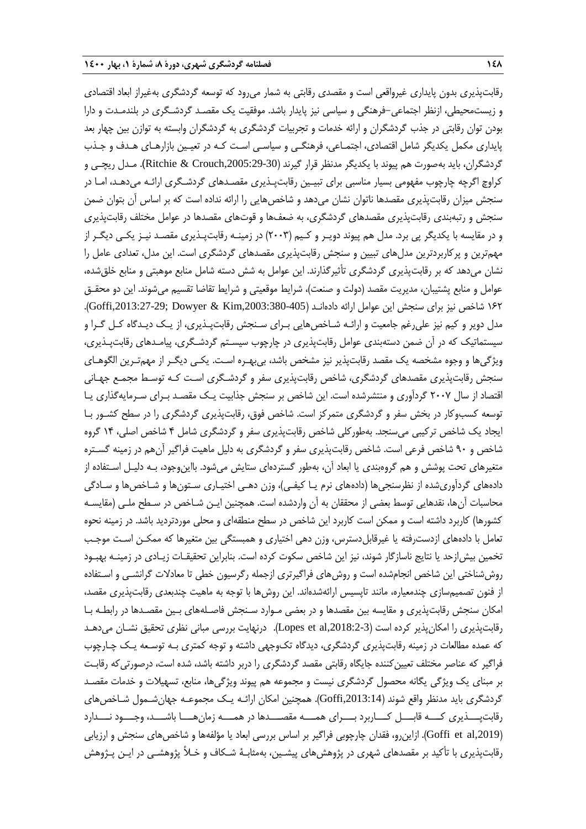رقابتپذیری بدون پایداری غیرواقعی است و مقصدی رقابتی به شمار میرود که توسعه گردشگری بهغیراز ابعاد اقتصادی و زیستمحیطی، ازنظر اجتماعی-فرهنگی و سیاسی نیز پایدار باشد. موفقیت یک مقصـد گردشـگری در بلندمـدت و دارا بودن توان رقابتی در جذب گردشگران و ارائه خدمات و تجربیات گردشگری به گردشگران وابسته به توازن بین چهار بعد پایداری مکمل یکدیگر شامل اقتصادی، اجتمـاعی، فرهنگـی و سیاسـی اسـت کـه در تعیـین بازارهـای هـدف و جـذب گردشگران، باید بهصورت هم پیوند با یکدیگر مدنظر قرار گیرند (Ritchie & Crouch,2005:29-30). مـدل ریچـی و کراوچ اگرچه چارچوب مفهومی بسیار مناسبی برای تبیـین رقابتپـذیری مقصـدهای گردشـگری ارائـه میدهـد، امـا در سنجش میزان رقابتپذیری مقصدها ناتوان نشان میدهد و شاخصهایی را ارائه نداده است که بر اساس آن بتوان ضمن سنجش و رتبهبندی رقابتپذیری مقصدهای گردشگری، به ضعفها و قوتهای مقصدها در عوامل مختلف رقابتپذیری و در مقایسه با یکدیگر پی برد. مدل هم پیوند دویـر و کـیم )2003( در زمینـه رقابتپـذیری مقصـد نیـز یکـی دیگـر از مهمترین و پرکاربردترین مدلهای تبیین و سنجش رقابتپذیری مقصدهای گردشگری است. این مدل، تعدادی عامل را نشان میدهد که بر رقابتپذیری گردشگری تأثیرگذارند. این عوامل به شش دسته شامل منابع موهبتی و منابع خلقشده، عوامل و منابع پشتیبان، مدیریت مقصد (دولت و صنعت)، شرایط موقعیتی و شرایط تقاضا تقسیم میشوند. این دو محقـق 162 شاخص نیز برای سنجش این عوامل ارائه دادهانـد ),2003:380-405Kim & Dowyer; ,2013:27-29Goffi). مدل دویر و کیم نیز علیرغم جامعیت و ارائـه شـاخصهایی بـرای سـنجش رقابتپـذیری، از یـک دیـدگاه کـل گـرا و سیستماتیک که در آن ضمن دستهبندی عوامل رقابتپذیری در چارچوب سیسـتم گردشـگری، پیامـدهای رقابتپـذیری، ویژگیها و وجوه مشخصه یک مقصد رقابتپذیر نیز مشخص باشد، بیبهـره اسـت. یکـی دیگـر از مهمتـرین الگوهـای سنجش رقابتپذیری مقصدهای گردشگری، شاخص رقابتپذیری سفر و گردشـگری اسـت کـه توسـ مجمـع جهـانی اقتصاد از سال 2007 گردآوری و منتشرشده است. این شاخص بر سنجش جذابیت یـک مقصـد بـرای سـرمایهگذاری یـا توسعه کسبوکار در بخش سفر و گردشگری متمرکز است. شاخص فوق، رقابتپذیری گردشگری را در سطح کشـور بـا ایجاد یک شاخص ترکیبی میسنجد. بهطورکلی شاخص رقابتپذیری سفر و گردشگری شامل 4 شاخص اصلی، 14 گروه شاخص و 90 شاخص فرعی است. شاخص رقابتپذیری سفر و گردشگری به دلیل ماهیت فراگیر آنهم در زمینه گسـتره متغیرهای تحت پوشش و هم گروهبندی یا ابعاد آن، بهطور گستردهای ستایش میشود. بااینوجود، بـه دلیـل اسـتفاده از دادههای گردآوریشده از نظرسنجیها (دادههای نرم یـا کیفـی)، وزن دهـی اختیـاری سـتونها و شـاخصها و سـادگی محاسبات آنها، نقدهایی توسط بعضی از محققان به آن واردشده است. همچنین ایـن شـاخص در سـطح ملـی (مقایسـه کشورها) کاربرد داشته است و ممکن است کاربرد این شاخص در سطح منطقهای و محلی موردتردید باشد. در زمینه نحوه تعامل با دادههای ازدسترفته یا غیرقابلدسترس، وزن دهی اختیاری و همبستگی بین متغیرها که ممکـن اسـت موجـب تخمین بیشازحد یا نتایج ناسازگار شوند، نیز این شاخص سکوت کرده است. بنابراین تحقیقـات زیـادی در زمینـه بهبـود روششناختی این شاخص انجامشده است و روشهای فراگیرتری ازجمله رگرسیون خطی تا معادالت گرانشـی و اسـتفاده از فنون تصمیمسازی چندمعیاره، مانند تاپسیس ارائهشدهاند. این روشها با توجه به ماهیت چندبعدی رقابتپذیری مقصد، امکان سنجش رقابتپذیری و مقایسه بین مقصدها و در بعضی مـوارد سـنجش فاصـلههای بـین مقصـدها در رابطـه بـا رقابتپذیری را امکانپذیر کرده است (Lopes et al,2018:2-3). درنهایت بررسی مبانی نظری تحقیق نشـان میدهـد که عمده مطالعات در زمینه رقابتپذیری گردشگری، دیدگاه تکوجهی داشته و توجه کمتری بـه توسـعه یـک چـارچوب فراگیر که عناصر مختلف تعیینکننده جایگاه رقابتی مقصد گردشگری را دربر داشته باشد، شده است، درصورتیکه رقابـت بر مبنای یک ویژگی یگانه محصول گردشگری نیست و مجموعه هم پیوند ویژگیها، منابع، تسهیالت و خدمات مقصـد گردشگری باید مدنظر واقع شوند ),2013:14Goffi). همچنین امکان ارائـه یـک مجموعـه جهانشـمول شـاخصهای رقابتپـــذیری کـــه قابـــل کـــاربرد بـــرای همـــه مقصـــدها در همـــه زمانهـــا باشـــد، وجـــود نـــدارد ),2019al et Goffi). ازاینرو، فقدان چارچوبی فراگیر بر اساس بررسی ابعاد یا مؤلفهها و شاخصهای سنجش و ارزیابی رقابتپذیری با تأکید بر مقصدهای شهری در پژوهشهای پیشـین، بهمثابـۀ شـکاف و خـأل پژوهشـی در ایـن پـژوهش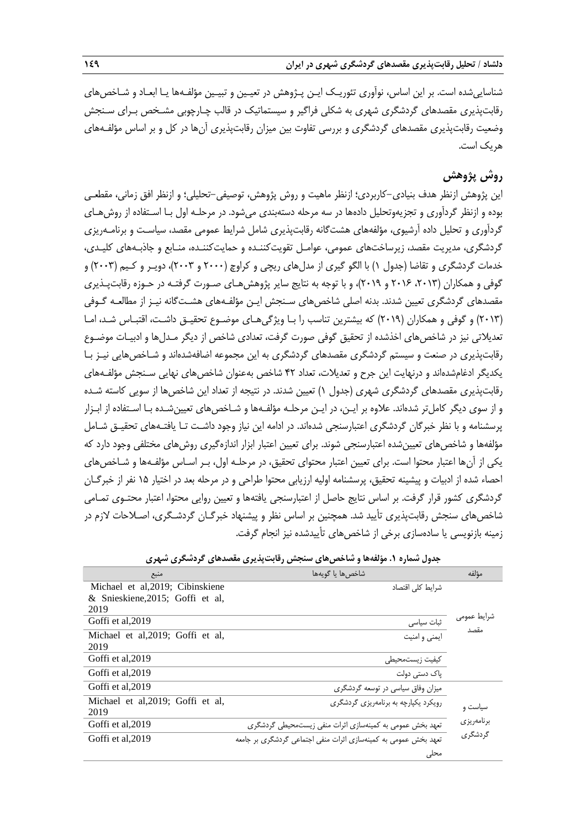شناساییشده است. بر این اساس، نوآوری تئوریـک ایـن پـژوهش در تعیـین و تبیـین مؤلفـهها یـا ابعـاد و شـاخصهای رقابتپذیری مقصدهای گردشگری شهری به شکلی فراگیر و سیستماتیک در قالب چـارچوبی مشـخص بـرای سـنجش وضعیت رقابتپذیری مقصدهای گردشگری و بررسی تفاوت بین میزان رقابتپذیری آنها در کل و بر اساس مؤلفـههای هریک است.

# **روش پژوهش**

این پژوهش ازنظر هدف بنیادی-کاربردی؛ ازنظر ماهیت و روش پژوهش، توصیفی-تحلیلی؛ و ازنظر افق زمانی، مقطعـی بوده و ازنظر گردآوری و تجزیهوتحلیل دادهها در سه مرحله دستهبندی میشود. در مرحلـه اول بـا اسـتفاده از روشهـای گردآوری و تحلیل داده آرشیوی، مؤلفههای هشتگانه رقابتپذیری شامل شرایط عمومی مقصد، سیاسـت و برنامـهریزی گردشگری، مدیریت مقصد، زیرساختهای عمومی، عوامـل تقویتکننـده و حمایتکننـده، منـابع و جاذبـههای کلیـدی، خدمات گردشگری و تقاضا (جدول ۱) با الگو گیری از مدلهای ریچی و کراوچ (۲۰۰۲ و ۲۰۰۳)، دویـر و کـیم (۲۰۰۳) و گوفی و همکاران )،2013 2016 و 2019(، و با توجه به نتایج سایر پژوهشهـای صـورت گرفتـه در حـوزه رقابتپـذیری مقصدهای گردشگری تعیین شدند. بدنه اصلی شاخص های سـنجش ایـن مؤلفـههای هشـتگانه نیـز از مطالعـه گـوفی )2013( و گوفی و همکاران )2019( که بیشترین تناسب را بـا ویژگیهـای موضـوع تحقیـق داشـت، اقتبـاس شـد، امـا تعدیالتی نیز در شاخصهای اخذشده از تحقیق گوفی صورت گرفت، تعدادی شاخص از دیگر مـدلها و ادبیـات موضـوع رقابتپذیری در صنعت و سیستم گردشگری مقصدهای گردشگری به این مجموعه اضافهشدهاند و شـاخصهایی نیـز بـا یکدیگر ادغامشدهاند و درنهایت این جرح و تعدیالت، تعداد 42 شاخص بهعنوان شاخصهای نهایی سـنجش مؤلفـههای رقابتپذیری مقصدهای گردشگری شهری (جدول ۱) تعیین شدند. در نتیجه از تعداد این شاخصها از سویی کاسته شـده و از سوی دیگر کاملتر شدهاند. عالوه بر ایـن، در ایـن مرحلـه مؤلفـهها و شـاخصهای تعیینشـده بـا اسـتفاده از ابـزار پرسشنامه و با نظر خبرگان گردشگری اعتبارسنجی شدهاند. در ادامه این نیاز وجود داشـت تـا یافتـههای تحقیـق شـامل مؤلفهها و شاخصهای تعیینشده اعتبارسنجی شوند. برای تعیین اعتبار ابزار اندازهگیری روشهای مختلفی وجود دارد که یکی از آنها اعتبار محتوا است. برای تعیین اعتبار محتوای تحقیق، در مرحلـه اول، بـر اسـاس مؤلفـهها و شـاخصهای احصار شده از ادبیات و پیشینه تحقیق، پرسشنامه اولیه ارزیابی محتوا طراحی و در مرحله بعد در اختیار 15 نفر از خبرگـان گردشگری کشور قرار گرفت. بر اساس نتایج حاصل از اعتبارسنجی یافتهها و تعیین روایی محتوا، اعتبار محتـوی تمـامی شاخصهای سنجش رقابتپذیری تأیید شد. همچنین بر اساس نظر و پیشنهاد خبرگـان گردشـگری، اصـالحات الزم در زمینه بازنویسی یا سادهسازی برخی از شاخصهای تأییدشده نیز انجام گرفت.

| منبع                              | شاخصها يا گويهها                                                | مؤلفه               |
|-----------------------------------|-----------------------------------------------------------------|---------------------|
| Michael et al, 2019; Cibinskiene  | شرايط كلى اقتصاد                                                |                     |
| & Snieskiene, 2015; Goffi et al,  |                                                                 |                     |
| 2019                              |                                                                 |                     |
| Goffi et al, 2019                 | ثبات سیاسی                                                      | شرايط عمومي<br>مقصد |
| Michael et al, 2019; Goffi et al, | ایمنی و امنیت                                                   |                     |
| 2019                              |                                                                 |                     |
| Goffi et al. 2019                 | كيفيت زيستمحيطى                                                 |                     |
| Goffi et al, 2019                 | یاک دستی دولت                                                   |                     |
| Goffi et al. 2019                 | میزان وفاق سیاسی در توسعه گردشگری                               |                     |
| Michael et al, 2019; Goffi et al, | رویکرد یکپارچه به برنامهریزی گردشگری                            | سیاست و             |
| 2019                              |                                                                 |                     |
| Goffi et al. 2019                 | تعهد بخش عمومی به کمینهسازی اثرات منفی زیستمحیطی گردشگری        | برنامەريزى          |
| Goffi et al. 2019                 | تعهد بخش عمومی به کمینهسازی اثرات منفی اجتماعی گردشگری بر جامعه | گردشگری             |
|                                   | محلى                                                            |                     |

**جدول شماره .1 مؤلفهها و شاخصهای سنجش رقابتپذیری مقصدهای گردشگری شهری**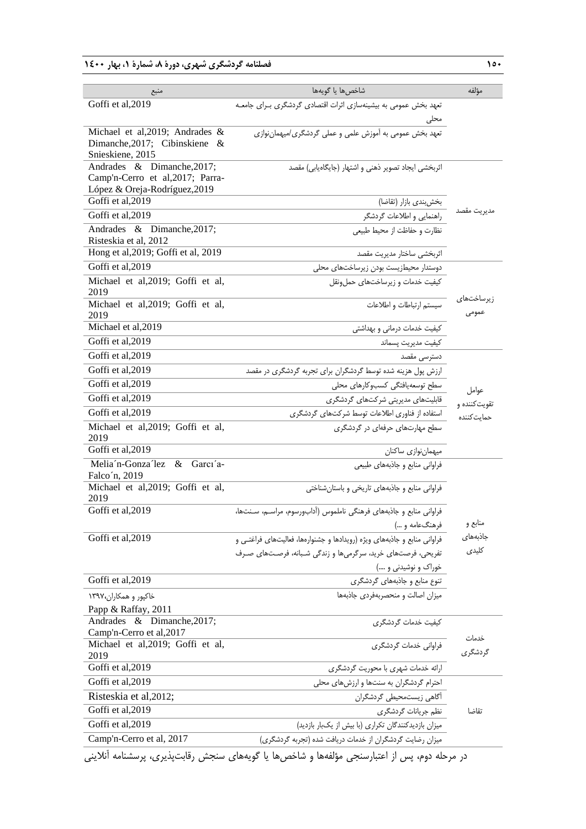**150 فصلنامه گردشگری شهری، دورۀ ،8 شمارۀ ،1 بهار 1400**

| منبع                                           | شاخصها يا گويهها                                                         | مؤلفه              |
|------------------------------------------------|--------------------------------------------------------------------------|--------------------|
| Goffi et al, 2019                              | تعهد بخش عمومی به بیشینهسازی اثرات اقتصادی گردشگری برای جامعه            |                    |
|                                                | محلى                                                                     |                    |
| Michael et al, 2019; Andrades &                | تعهد بخش عمومی به آموزش علمی و عملی گردشگری/میهمان نوازی                 |                    |
| Dimanche, 2017; Cibinskiene &                  |                                                                          |                    |
| Snieskiene, 2015<br>Andrades & Dimanche, 2017; | اثربخشی ایجاد تصویر ذهنی و اشتهار (جایگاهیابی) مقصد                      |                    |
| Camp'n-Cerro et al, 2017; Parra-               |                                                                          |                    |
| López & Oreja-Rodríguez, 2019                  |                                                                          |                    |
| Goffi et al, 2019                              | بخش بندى بازار (تقاضا)                                                   |                    |
| Goffi et al, 2019                              | راهنمایی و اطلاعات گردشگر                                                | مديريت مقصد        |
| Andrades & Dimanche, 2017;                     | نظارت و حفاظت از محیط طبیعی                                              |                    |
| Risteskia et al, 2012                          |                                                                          |                    |
| Hong et al, 2019; Goffi et al, 2019            | اثربخشي ساختار مديريت مقصد                                               |                    |
| Goffi et al, 2019                              | دوستدار محيطزيست بودن زيرساختهاى محلى                                    |                    |
| Michael et al, 2019; Goffi et al,<br>2019      | كيفيت خدمات و زيرساختهاى حمل ونقل                                        |                    |
| Michael et al, 2019; Goffi et al,              | سيستم ارتباطات و اطلاعات                                                 | زیرساختها <i>ی</i> |
| 2019                                           |                                                                          | عمومى              |
| Michael et al, 2019                            | کیفیت خدمات درمانی و بهداشتی                                             |                    |
| Goffi et al, 2019                              | كيفيت مديريت يسماند                                                      |                    |
| Goffi et al, 2019                              | دسترسی مقصد                                                              |                    |
| Goffi et al, 2019                              | ارزش پول هزینه شده توسط گردشگران برای تجربه گردشگری در مقصد              |                    |
| Goffi et al, 2019                              | سطح توسعه يافتگى كسبوكارهاى محلى                                         | عوامل              |
| Goffi et al, 2019                              | قابلیتهای مدیریتی شرکتهای گردشگری                                        | تقويت كننده و      |
| Goffi et al, 2019                              | استفاده از فناوری اطلاعات توسط شرکتهای گردشگری                           | حمايت كننده        |
| Michael et al, 2019; Goffi et al,<br>2019      | سطح مهارتهای حرفهای در گردشگری                                           |                    |
| Goffi et al, 2019                              | میهمان نوازی ساکنان                                                      |                    |
| Melia'n-Gonza'lez & Garcı'a-                   | فراوانی منابع و جاذبههای طبیعی                                           |                    |
| Falco'n, 2019                                  |                                                                          |                    |
| Michael et al, 2019; Goffi et al,<br>2019      | فراوانی منابع و جاذبههای تاریخی و باستانشناختی                           |                    |
| Goffi et al, 2019                              | فراوانی منابع و جاذبههای فرهنگی ناملموس (آدابورسوم، مراسـم، سـنتها،      |                    |
|                                                | فرهنگءامه و …)                                                           | منابع و            |
| Goffi et al, 2019                              | فراوانی منابع و جاذبههای ویژه (رویدادها و جشنوارهها، فعالیتهای فراغتـی و | جاذبههای           |
|                                                | تفریحی، فرصتهای خرید، سرگرمیها و زندگی شبانه، فرصتهای صـرف               | كليدى              |
|                                                | خوراک و نوشیدنی و ….)                                                    |                    |
| Goffi et al, 2019                              | تنوع منابع و جاذبههای گردشگری                                            |                    |
| خاکپور و همکاران،۱۳۹۷                          | میزان اصالت و منحصربهفردی جاذبهها                                        |                    |
| Papp & Raffay, 2011                            |                                                                          |                    |
| Andrades & Dimanche, 2017;                     | كيفيت خدمات گردشگرى                                                      |                    |
| Camp'n-Cerro et al, 2017                       |                                                                          | خدمات              |
| Michael et al, 2019; Goffi et al,<br>2019      | فراوانی خدمات گردشگری                                                    | گردشگری            |
| Goffi et al, 2019                              | ارائه خدمات شهري با محوريت گردشگري                                       |                    |
| Goffi et al, 2019                              | احترام گردشگران به سنتها و ارزشهای محلی                                  |                    |
| Risteskia et al, 2012;                         | آگاهی زیستمحیطی گردشگران                                                 |                    |
| Goffi et al, 2019                              | نظم جريانات گردشگرى                                                      | تقاضا              |
| Goffi et al, 2019                              | میزان بازدیدکنندگان تکراری (با بیش از یکبار بازدید)                      |                    |
| Camp'n-Cerro et al, 2017                       | میزان رضایت گردشگران از خدمات دریافت شده (تجربه گردشگری)                 |                    |
|                                                |                                                                          |                    |

در مرحله دوم، پس از اعتبارسنجی مؤلفهها و شاخصها یا گویههای سنجش رقابتپذیری، پرسشنامه آنالینی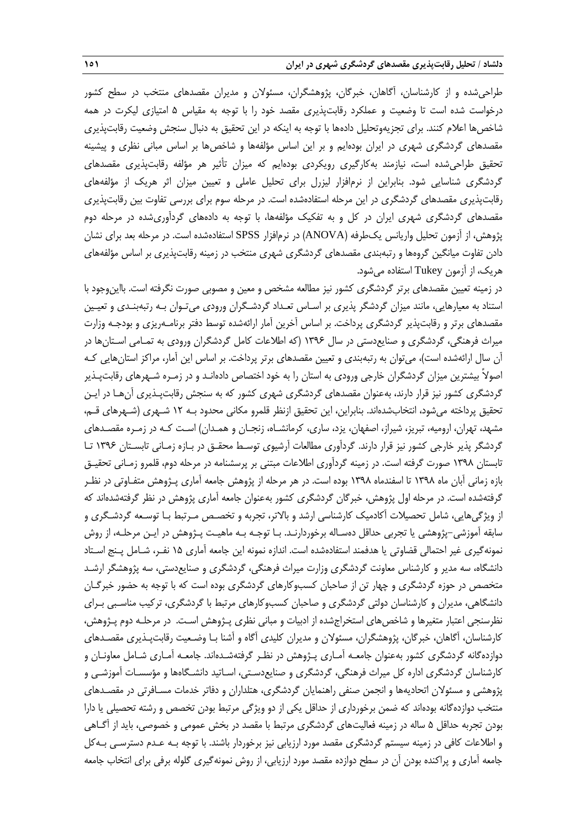طراحیشده و از کارشناسان، آگاهان، خبرگان، پژوهشگران، مسئوالن و مدیران مقصدهای منتخب در سطح کشور درخواست شده است تا وضعیت و عملکرد رقابتپذیری مقصد خود را با توجه به مقیاس 5 امتیازی لیکرت در همه شاخصها اعالم کنند. برای تجزیهوتحلیل دادهها با توجه به اینکه در این تحقیق به دنبال سنجش وضعیت رقابتپذیری مقصدهای گردشگری شهری در ایران بودهایم و بر این اساس مؤلفهها و شاخصها بر اساس مبانی نظری و پیشینه تحقیق طراحیشده است، نیازمند بهکارگیری رویکردی بودهایم که میزان تأثیر هر مؤلفه رقابتپذیری مقصدهای گردشگری شناسایی شود. بنابراین از نرمافزار لیزرل برای تحلیل عاملی و تعیین میزان اثر هریک از مؤلفههای رقابتپذیری مقصدهای گردشگری در این مرحله استفادهشده است. در مرحله سوم برای بررسی تفاوت بین رقابتپذیری مقصدهای گردشگری شهری ایران در کل و به تفکیک مؤلفهها، با توجه به دادههای گردآوریشده در مرحله دوم پژوهش، از آزمون تحلیل واریانس یکطرفه )ANOVA )در نرمافزار SPSS استفادهشده است. در مرحله بعد برای نشان دادن تفاوت میانگین گروهها و رتبهبندی مقصدهای گردشگری شهری منتخب در زمینه رقابتپذیری بر اساس مؤلفههای هریک، از آزمون Tukey استفاده میشود.

در زمینه تعیین مقصدهای برتر گردشگری کشور نیز مطالعه مشخص و معین و مصوبی صورت نگرفته است. بااینوجود با استناد به معیارهایی، مانند میزان گردشگر پذیری بر اسـاس تعـداد گردشـگران ورودی میتـوان بـه رتبهبنـدی و تعیـین مقصدهای برتر و رقابتپذیر گردشگری پرداخت. بر اساس آخرین آمار ارائهشده توسط دفتر برنامـهریزی و بودجـه وزارت میراث فرهنگی، گردشگری و صنایعدستی در سال 1396 )که اطالعات کامل گردشگران ورودی به تمـامی اسـتانها در آن سال ارائهشده است)، میتوان به رتبهبندی و تعیین مقصدهای برتر پرداخت. بر اساس این آمار، مراکز استانهایی کـه اصوالً بیشترین میزان گردشگران خارجی ورودی به استان را به خود اختصاص دادهانـد و در زمـره شـهرهای رقابتپـذیر گردشگری کشور نیز قرار دارند، بهعنوان مقصدهای گردشگری شهری کشور که به سنجش رقابتپـذیری آنهـا در ایـن تحقیق پرداخته میشود، انتخابشدهاند. بنابراین، این تحقیق ازنظر قلمرو مکانی محدود بـه 12 شـهری )شـهرهای قـم، مشهد، تهران، ارومیه، تبریز، شیراز، اصفهان، یزد، ساری، کرمانشـاه، زنجـان و همـدان( اسـت کـه در زمـره مقصـدهای گردشگر پذیر خارجی کشور نیز قرار دارند. گردآوری مطالعات آرشیوی توسـ محقـق در بـازه زمـانی تابسـتان 1396 تـا تابستان 1398 صورت گرفته است. در زمینه گردآوری اطالعات مبتنی بر پرسشنامه در مرحله دوم، قلمرو زمـانی تحقیـق بازه زمانی آبان ماه 1398 تا اسفندماه 1398 بوده است. در هر مرحله از پژوهش جامعه آماری پـژوهش متفـاوتی در نظـر گرفتهشده است. در مرحله اول پژوهش، خبرگان گردشگری کشور بهعنوان جامعه آماری پژوهش در نظر گرفتهشدهاند که از ویژگیهایی، شامل تحصیلات آکادمیک کارشناسی ارشد و بالاتر، تجربه و تخصـص مـرتبط بـا توسـعه گردشـگری و سابقه آموزشی-پژوهشی یا تجربی حداقل دهسـاله برخوردارنـد. بـا توجـه بـه ماهیـت پـژوهش در ایـن مرحلـه، از روش نمونهگیری غیر احتمالی قضاوتی یا هدفمند استفادهشده است. اندازه نمونه این جامعه آماری 15 نفـر، شـامل پـنج اسـتاد دانشگاه، سه مدیر و کارشناس معاونت گردشگری وزارت میراث فرهنگی، گردشگری و صنایعدستی، سه پژوهشگر ارشـد متخصص در حوزه گردشگری و چهار تن از صاحبان کسبوکارهای گردشگری بوده است که با توجه به حضور خبرگـان دانشگاهی، مدیران و کارشناسان دولتی گردشگری و صاحبان کسبوکارهای مرتبط با گردشگری، ترکیب مناسـبی بـرای نظرسنجی اعتبار متغیرها و شاخصهای استخراجشده از ادبیات و مبانی نظری پـژوهش اسـت. در مرحلـه دوم پـژوهش، کارشناسان، آگاهان، خبرگان، پژوهشگران، مسئوالن و مدیران کلیدی آگاه و آشنا بـا وضـعیت رقابتپـذیری مقصـدهای دوازدهگانه گردشگری کشور بهعنوان جامعـه آمـاری پـژوهش در نظـر گرفتهشـدهاند. جامعـه آمـاری شـامل معاونـان و کارشناسان گردشگری اداره کل میراث فرهنگی، گردشگری و صنایعدسـتی، اسـاتید دانشـگاهها و مؤسسـات آموزشـی و پژوهشی و مسئوالن اتحادیهها و انجمن صنفی راهنمایان گردشگری، هتلداران و دفاتر خدمات مسـافرتی در مقصـدهای منتخب دوازدهگانه بودهاند که ضمن برخورداری از حداقل یکی از دو ویژگی مرتبط بودن تخصص و رشته تحصیلی یا دارا بودن تجربه حداقل ۵ ساله در زمینه فعالیتهای گردشگری مرتبط با مقصد در بخش عمومی و خصوصی، باید از آگــاهی و اطالعات کافی در زمینه سیستم گردشگری مقصد مورد ارزیابی نیز برخوردار باشند. با توجه بـه عـدم دسترسـی بـهکل جامعه آماری و پراکنده بودن آن در سطح دوازده مقصد مورد ارزیابی، از روش نمونهگیری گلوله برفی برای انتخاب جامعه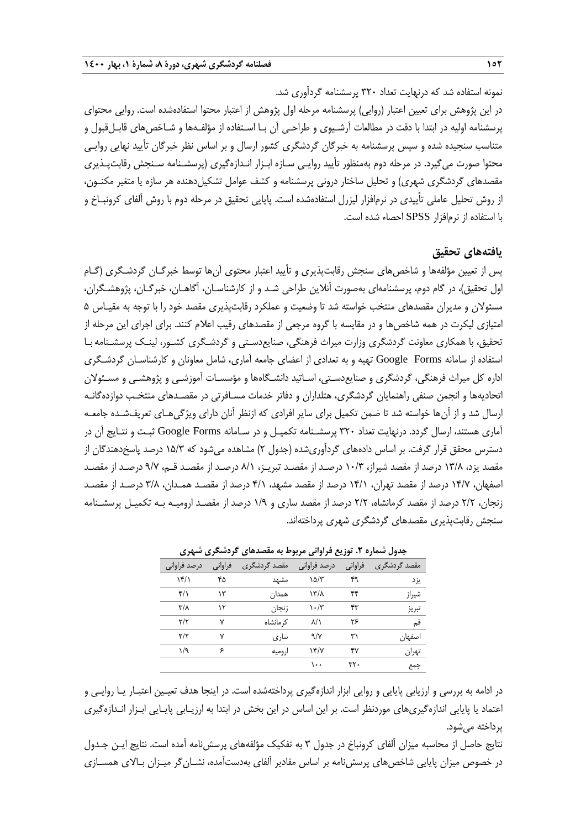نمونه استفاده شد که درنهایت تعداد 320 پرسشنامه گردآوری شد. در این پژوهش برای تعیین اعتبار (روایی) پرسشنامه مرحله اول پژوهش از اعتبار محتوا استفادهشده است. روایی محتوای پرسشنامه اولیه در ابتدا با دقت در مطالعات آرشـیوی و طراحـی آن بـا اسـتفاده از مؤلفـهها و شـاخصهای قابـلقبول و متناسب سنجیده شده و سپس پرسشنامه به خبرگان گردشگری کشور ارسال و بر اساس نظر خبرگان تأیید نهایی روایـی محتوا صورت میگیرد. در مرحله دوم بهمنظور تأیید روایـی سـازه ابـزار انـدازهگیری )پرسشـنامه سـنجش رقابتپـذیری مقصدهای گردشگری شهری) و تحلیل ساختار درونی پرسشنامه و کشف عوامل تشکیلدهنده هر سازه یا متغیر مکنـون، از روش تحلیل عاملی تاًییدی در نرمافزار لیزرل استفادهشده است. پایایی تحقیق در مرحله دوم با روش آلفای کرونبـاخ و با استفاده از نرمافزار SPSS احصار شده است.

## **یافتههای تحقیق**

پس از تعیین مؤلفهها و شاخصهای سنجش رقابتپذیری و تأیید اعتبار محتوی آنها توسط خبرگـان گردشـگری (گـام اول تحقیق(، در گام دوم، پرسشنامهای بهصورت آنالین طراحی شـد و از کارشناسـان، آگاهـان، خبرگـان، پژوهشـگران، مسئوالن و مدیران مقصدهای منتخب خواسته شد تا وضعیت و عملکرد رقابتپذیری مقصد خود را با توجه به مقیـاس 5 امتیازی لیکرت در همه شاخصها و در مقایسه با گروه مرجعی از مقصدهای رقیب اعالم کنند. برای اجرای این مرحله از تحقیق، با همکاری معاونت گردشگری وزارت میراث فرهنگی، صنایعدسـتی و گردشـگری کشـور، لینـک پرسشـنامهبـا استفاده از سامانه Forms Google تهیه و به تعدادی از اعضای جامعه آماری، شامل معاونان و کارشناسـان گردشـگری اداره کل میراث فرهنگی، گردشگری و صنایعدسـتی، اسـاتید دانشـگاهها و مؤسسـات آموزشـی و پژوهشـی و مسـئوالن اتحادیهها و انجمن صنفی راهنمایان گردشگری، هتلداران و دفاتر خدمات مسـافرتی در مقصـدهای منتخـب دوازدهگانـه ارسال شد و از آنها خواسته شد تا ضمن تکمیل برای سایر افرادی که ازنظر آنان دارای ویژگیهـای تعریفشـده جامعـه آماری هستند، ارسال گردد. درنهایت تعداد 320 پرسشـنامه تکمیـل و در سـامانه Forms Google ثبـت و نتـایج آن در دسترس محقق قرار گرفت. بر اساس دادههای گردآوریشده (جدول ۲) مشاهده میشود که ۱۵/۳ درصد پاسخدهندگان از مقصد یزد، 13/8 درصد از مقصد شیراز، 10/3 درصـد از مقصـد تبریـز، 8/1 درصـد از مقصـد قـم، 9/7 درصـد از مقصـد اصفهان، 14/7 درصد از مقصد تهران، 14/1 درصد از مقصد مشهد، 4/1 درصد از مقصـد همـدان، 3/8 درصـد از مقصـد زنجان، 2/2 درصد از مقصد کرمانشاه، 2/2 درصد از مقصد ساری و 1/9 درصد از مقصـد ارومیـه بـه تکمیـل پرسشـنامه سنجش رقابتپذیری مقصدهای گردشگری شهری پرداختهاند.

| درصد فراوانی            | فراواني | ً مقصد گردشگر <i>ی</i> | درصد فراوانی      | فراواني | ً مقصد گردشگری |
|-------------------------|---------|------------------------|-------------------|---------|----------------|
| ۱۴/۱                    | ۴۵      | مشهد                   | ۱۵/۳              | ۴۹      | يزد            |
| $f/\lambda$             | ۱۳      | همدان                  | $\lambda$         | ۴۴      | شيراز          |
| $\mathbf{r}/\mathbf{v}$ | ۱۲      | ز نجان                 | ۱۰/۳              | ۴۳      | تبريز          |
| $\mathbf{r}/\mathbf{r}$ | ٧       | کر مانشاہ              | $\lambda/\lambda$ | ۲۶      | قم             |
| $\mathbf{r}/\mathbf{r}$ | ۷       | سار ی                  | 9/1               | ۳۱      | اصفهان         |
| ۱/۹                     | ۶       | اروميه                 | $\gamma$          | ۴٧      | تهران          |
|                         |         |                        | ۱۰۰               | ۳۲۰     | جمع            |

**جدول شماره .2 توزیع فراوانی مربوط به مقصدهای گردشگری شهری**

در ادامه به بررسی و ارزیابی پایایی و روایی ابزار اندازهگیری پرداختهشده است. در اینجا هدف تعیـین اعتبـار یـا روایـی و اعتماد یا پایایی اندازهگیریهای موردنظر است. بر این اساس در این بخش در ابتدا به ارزیـابی پایـایی ابـزار انـدازهگیری پرداخته میشود.

نتایج حاصل از محاسبه میزان آلفای کرونباخ در جدول 3 به تفکیک مؤلفههای پرسشنامه آمده است. نتایج ایـن جـدول در خصوص میزان پایایی شاخصهای پرسشنامه بر اساس مقادیر آلفای بهدستآمده، نشـانگر میـزان بـاالی همسـازی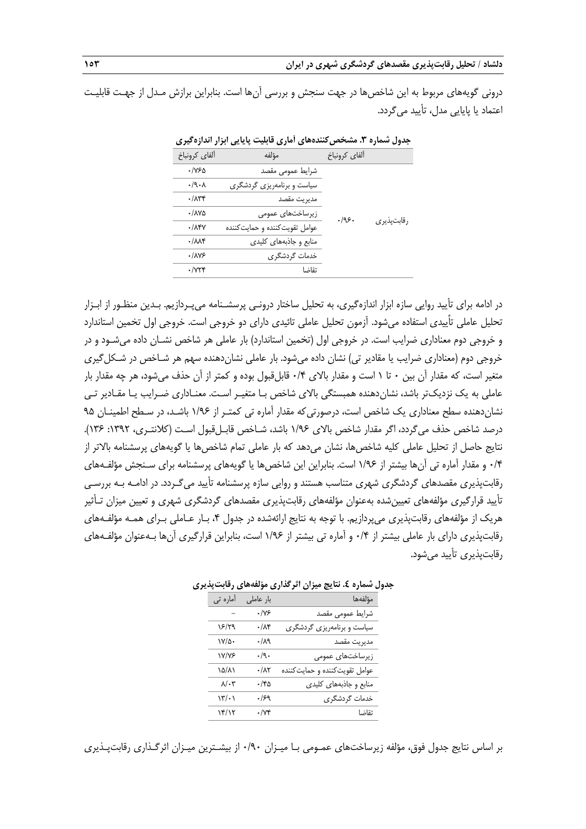درونی گویههای مربوط به این شاخصها در جهت سنجش و بررسی آنها است. بنابراین برازش مـدل از جهـت قابلیـت اعتماد یا پایایی مدل، تأیید میگردد.

|               | ن سرن - <del>ب</del>            | پی میں 'بر'ر 'س'ر۔ میر <b>ن</b> |
|---------------|---------------------------------|---------------------------------|
| ألفاي كرونباخ | مؤلفه                           | ألفاي كرونباخ                   |
|               | شرايط عمومى مقصد                | $\cdot$ / $\vee$ ۶۵             |
|               | سیاست و برنامهریزی گردشگری      | .44.1                           |
|               | مديريت مقصد                     | $\cdot/\lambda$ ۳۴              |
| .49.          | زیرساختهای عمومی                | ٠/٨٧٥                           |
|               | عوامل تقويت كننده و حمايت كننده | $\cdot/\lambda$ ۴۷              |
|               | منابع و جاذبههای کلیدی          | $\cdot/\lambda\lambda$ ۴        |
|               | خدمات گردشگری                   | .11Y5                           |
|               | تقاضا                           | $\cdot$ / $\forall$             |

**جدول شماره .3 مشخصکنندههای آماری قابلیت پایایی ابزار اندازهگیری**

در ادامه برای تأیید روایی سازه ابزار اندازهگیری، به تحلیل ساختار درونـی پرسشـنامه میپـردازیم. بـدین منظـور از ابـزار تحلیل عاملی تاًییدی استفاده میشود. آزمون تحلیل عاملی تائیدی دارای دو خروجی است. خروجی اول تخمین استاندارد و خروجی دوم معناداری ضرایب است. در خروجی اول (تخمین استاندارد) بار عاملی هر شاخص نشـان داده می شـود و در خروجی دوم (معناداری ضرایب یا مقادیر تی) نشان داده میشود. بار عاملی نشاندهنده سهم هر شـاخص در شـکل گیری متغیر است، که مقدار آن بین ۰ تا ۱ است و مقدار بالای ۰/۴ قابلقبول بوده و کمتر از آن حذف میشود، هر چه مقدار بار عاملی به یک نزدیکتر باشد، نشاندهنده همبستگی باالی شاخص بـا متغیـر اسـت. معنـاداری ضـرایب یـا مقـادیر تـی نشاندهنده سطح معناداری یک شاخص است، درصورتیکه مقدار آماره تی کمتـر از 1/96 باشـد، در سـطح اطمینـان 95 درصد شاخص حذف می گردد، اگر مقدار شاخص بالای ۱/۹۶ باشد، شـاخص قابـلEبول اسـت (کلانتـری، ۱۳۹۲: ۱۳۶). نتایج حاصل از تحلیل عاملی کلیه شاخصها، نشان میدهد که بار عاملی تمام شاخصها یا گویههای پرسشنامه باالتر از 0/4 و مقدار آماره تی آنها بیشتر از 1/96 است. بنابراین این شاخصها یا گویههای پرسشنامه برای سـنجش مؤلفـههای رقابتپذیری مقصدهای گردشگری شهری متناسب هستند و روایی سازه پرسشنامه تأیید میگـردد. در ادامـه بـه بررسـی تأیید قرارگیری مؤلفههای تعیینشده بهعنوان مؤلفههای رقابتپذیری مقصدهای گردشگری شهری و تعیین میزان تـأثیر هریک از مؤلفههای رقابتپذیری میپردازیم. با توجه به نتایج ارائهشده در جدول ،4 بـار عـاملی بـرای همـه مؤلفـههای رقابتپذیری دارای بار عاملی بیشتر از 0/4 و آماره تی بیشتر از 1/96 است، بنابراین قرارگیری آنها بـهعنوان مؤلفـههای رقابتپذیری تأیید میشود.

| مؤلفهها                         | بار عاملی        | امارہ تی             |
|---------------------------------|------------------|----------------------|
| شرايط عمومى مقصد                | $\cdot/\gamma$ ۶ |                      |
| سیاست و برنامهریزی گردشگری      | ۰/۸۴             | 18/79                |
| مديريت مقصد                     | ۰/۸۹             | $\frac{1}{2}$        |
| زیرساختهای عمومی                | $\cdot$ /9.      | ۱۷/۷۶                |
| عوامل تقويت كننده و حمايت كننده | ۰/۸۲             | ۱۵/۸۱                |
| منابع و جاذبههای کلیدی          | ۰/۴۵             | $\lambda/\cdot 7$    |
| خدمات گردشگری                   | ۰/۶۹             | $\frac{1}{\sqrt{2}}$ |
| تقاضا                           | ۰/۷۴             | ۱۴/۱۲                |
|                                 |                  |                      |

**جدول شماره .4 نتایج میزان اثرگذاری مؤلفههای رقابتپذیری**

بر اساس نتایج جدول فوق، مؤلفه زیرساختهای عمـومی بـا میـزان 0/90 از بیشـترین میـزان اثرگـذاری رقابتپـذیری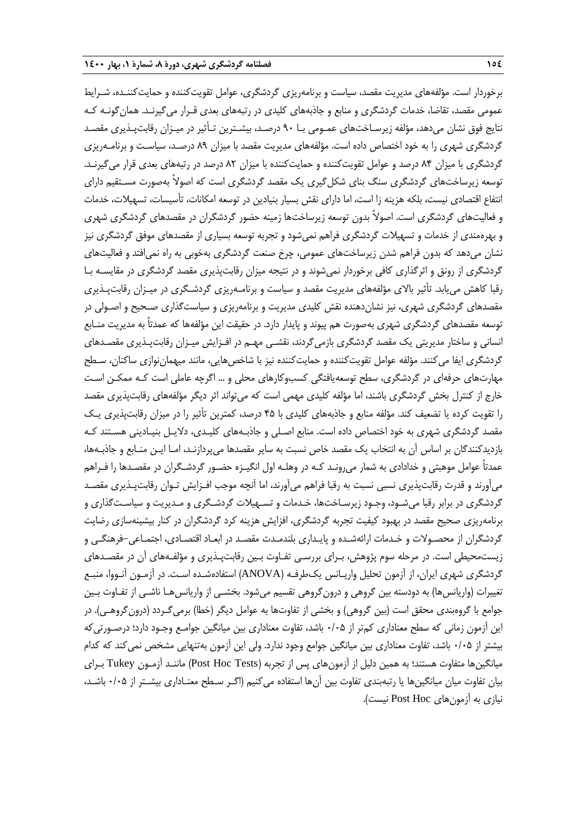برخوردار است. مؤلفههای مدیریت مقصد، سیاست و برنامهریزی گردشگری، عوامل تقویتکننده و حمایتکننـده، شـرایط عمومی مقصد، تقاضا، خدمات گردشگری و منابع و جاذبههای کلیدی در رتبههای بعدی قـرار میگیرنـد. همانگونـه کـه نتایج فوق نشان میدهد، مؤلفه زیرسـاختهای عمـومی بـا 90 درصـد، بیشـترین تـأثیر در میـزان رقابتپـذیری مقصـد گردشگری شهری را به خود اختصاص داده است. مؤلفههای مدیریت مقصد با میزان 89 درصـد، سیاسـت و برنامـهریزی گردشگری با میزان 84 درصد و عوامل تقویتکننده و حمایتکننده با میزان 82 درصد در رتبههای بعدی قرار میگیرنـد. توسعه زیرساختهای گردشگری سنگ بنای شکلگیری یک مقصد گردشگری است که اصوالً بهصورت مسـتقیم دارای انتفاع اقتصادی نیست، بلکه هزینه زا است، اما دارای نقش بسیار بنیادین در توسعه امکانات، تأسیسات، تسهیالت، خدمات و فعالیتهای گردشگری است. اصوالً بدون توسعه زیرساختها زمینه حضور گردشگران در مقصدهای گردشگری شهری و بهرهمندی از خدمات و تسهیالت گردشگری فراهم نمیشود و تجربه توسعه بسیاری از مقصدهای موفق گردشگری نیز نشان میدهد که بدون فراهم شدن زیرساختهای عمومی، چرخ صنعت گردشگری بهخوبی به راه نمیافتد و فعالیتهای گردشگری از رونق و اثرگذاری کافی برخوردار نمیشوند و در نتیجه میزان رقابتپذیری مقصد گردشگری در مقایسـه بـا رقبا کاهش مییابد. تأثیر باالی مؤلفههای مدیریت مقصد و سیاست و برنامـهریزی گردشـگری در میـزان رقابتپـذیری مقصدهای گردشگری شهری، نیز نشاندهنده نقش کلیدی مدیریت و برنامهریزی و سیاستگذاری صـحیح و اصـولی در توسعه مقصدهای گردشگری شهری بهصورت هم پیوند و پایدار دارد. در حقیقت این مؤلفهها که عمدتاً به مدیریت منـابع انسانی و ساختار مدیریتی یک مقصد گردشگری بازمیگردند، نقشـی مهـم در افـزایش میـزان رقابتپـذیری مقصـدهای گردشگری ایفا میکنند. مؤلفه عوامل تقویتکننده و حمایتکننده نیز با شاخصهایی، مانند میهماننوازی ساکنان، سـطح مهارتهای حرفهای در گردشگری، سطح توسعهیافتگی کسبوکارهای محلی و ... اگرچه عاملی است کـه ممکـن اسـت خارج از کنترل بخش گردشگری باشند، اما مؤلفه کلیدی مهمی است که میتواند اثر دیگر مؤلفههای رقابتپذیری مقصد را تقویت کرده یا تضعیف کند. مؤلفه منابع و جاذبههای کلیدی با 45 درصد، کمترین تأثیر را در میزان رقابتپذیری یـک مقصد گردشگری شهری به خود اختصاص داده است. منابع اصـلی و جاذبـههای کلیـدی، دالیـل بنیـادینی هسـتند کـه بازدیدکنندگان بر اساس آن به انتخاب یک مقصد خاص نسبت به سایر مقصدها میپردازنـد، امـا ایـن منـابع و جاذبـهها، عمدتاً عوامل موهبتی و خدادادی به شمار میرونـد کـه در وهلـه اول انگیـزه حضـور گردشـگران در مقصـدها را فـراهم میآورند و قدرت رقابتپذیری نسبی نسبت به رقبا فراهم میآورند، اما آنچه موجب افـزایش تـوان رقابتپـذیری مقصـد گردشگری در برابر رقبا میشـود، وجـود زیرسـاختها، خـدمات و تسـهیالت گردشـگری و مـدیریت و سیاسـتگذاری و برنامهریزی صحیح مقصد در بهبود کیفیت تجربه گردشگری، افزایش هزینه کرد گردشگران در کنار بیشینهسازی رضایت گردشگران از محصـوالت و خـدمات ارائهشـده و پایـداری بلندمـدت مقصـد در ابعـاد اقتصـادی، اجتمـاعی-فرهنگـی و زیستمحیطی است. در مرحله سوم پژوهش، بـرای بررسـی تفـاوت بـین رقابتپـذیری و مؤلفـههای آن در مقصـدهای گردشگری شهری ایران، از آزمون تحلیل واریـانس یکطرفـه )ANOVA )استفادهشـده اسـت. در آزمـون آنـووا، منبـع تغییرات (واریانسها) به دودسته بین گروهی و درونگروهی تقسیم میشود. بخشـی از واریانسهـا ناشـی از تفـاوت بـین جوامع با گروهبندی محقق است (بین گروهی) و بخشی از تفاوتها به عوامل دیگر (خطا) برمیگـردد (درونگروهـی). در این آزمون زمانی که سطح معناداری کمتر از 0/05 باشد، تفاوت معناداری بین میانگین جوامـع وجـود دارد؛ درصـورتیکه بیشتر از 0/05 باشد، تفاوت معناداری بین میانگین جوامع وجود ندارد. ولی این آزمون بهتنهایی مشخص نمیکند که کدام میانگینها متفاوت هستند؛ به همین دلیل از آزمونهای پس از تجربه (Post Hoc Tests) ماننـد آزمـون Tukey بـرای بیان تفاوت میان میانگینها یا رتبهبندی تفاوت بین آنها استفاده میکنیم )اگـر سـطح معنـاداری بیشـتر از 0/05 باشـد، نیازی به آزمونهای Post Hoc نیست).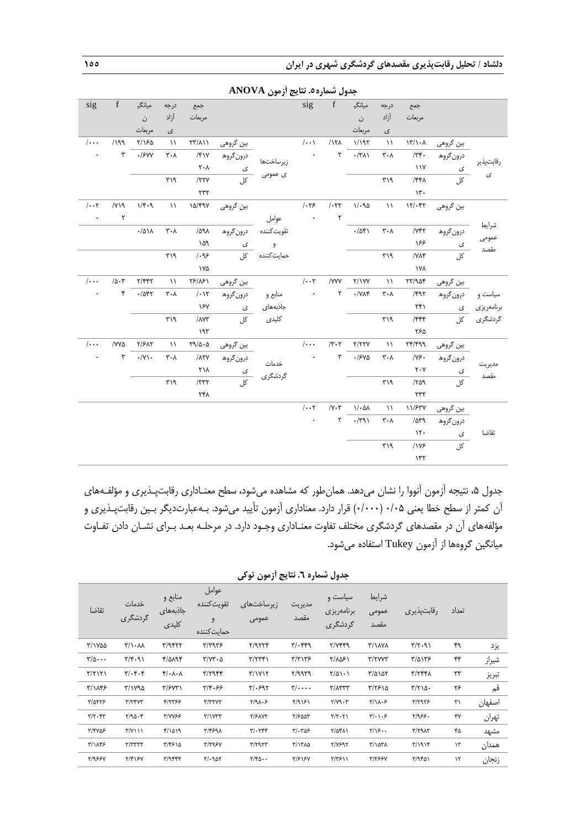|                       |                            |                                               |                                   |                                   |                          |                         | جدون سماره ب. تنايج ارمون ۳۰ تا ۲۰۱۰           |                         |                               |                                   |                                    |                          |                      |
|-----------------------|----------------------------|-----------------------------------------------|-----------------------------------|-----------------------------------|--------------------------|-------------------------|------------------------------------------------|-------------------------|-------------------------------|-----------------------------------|------------------------------------|--------------------------|----------------------|
|                       |                            | جمع                                           | درجه                              | ميانگير                           | $\mathbf f$              | sig                     |                                                |                         | جمع                           | درجه                              | ميانگيا                            | $\mathbf f$              | sig                  |
|                       |                            | مربعات                                        | آزاد                              | ن                                 |                          |                         |                                                |                         | مربعات                        | آزاد                              | ن                                  |                          |                      |
|                       |                            |                                               | ى                                 | مربعات                            |                          |                         |                                                |                         |                               | ی                                 | مربعات                             |                          |                      |
|                       | بین گروهی                  | $\lambda \mathbf{r}/\lambda \cdot \mathbf{r}$ | $\setminus$                       | 1/197                             | /17 <sub>A</sub>         | $  \cdot \cdot \rangle$ |                                                | يين گروهي               | $\Upsilon \Upsilon / \Lambda$ | $\setminus$                       | ٢/١۶۵                              | 1199                     | $/$                  |
|                       | درونگروه                   | $/ \nabla \mathfrak{r}$ .                     | $\mathbf{r}\cdot\mathbf{v}$       | $\cdot$ /٣٨١                      | ٢                        |                         |                                                |                         | $/\mathfrak{r} \vee$          | $\mathbf{r} \cdot \mathbf{v}$     | $\cdot$ /۶۷۷                       | $\mathbf{\breve{v}}$     |                      |
| رقابت پذیر            |                            | $\lambda$                                     |                                   |                                   |                          |                         | درونگروها<br>زیرساختها درونگروها<br>ی عمومی کل |                         | $\mathbf{Y} \cdot \mathbf{A}$ |                                   |                                    |                          |                      |
| ی                     | ى<br>كل                    | $\gamma$ ۴۴ $\Lambda$                         | $\mathbf{r} \setminus \mathbf{q}$ |                                   |                          |                         |                                                |                         | /77V                          | $\mathbf{r} \setminus \mathbf{q}$ |                                    |                          |                      |
|                       |                            | $\mathcal{N}$ .                               |                                   |                                   |                          |                         |                                                |                         | $\tau\tau\tau$                |                                   |                                    |                          |                      |
|                       | بین گروهی                  | 17/77                                         | $\setminus$                       | 1/290                             | $/$ + $\uparrow\uparrow$ | 1.59                    |                                                | بين گروهي               | 10/497                        | $\lambda$                         | $1/\mathfrak{r}\cdot \mathfrak{q}$ | /Y                       | $/ \cdot \cdot \tau$ |
|                       |                            |                                               |                                   |                                   | ٢                        |                         |                                                |                         |                               |                                   |                                    | $\Upsilon$               | $\ddot{\phantom{0}}$ |
| شرايط                 | درون گروھ                  | / Y Y Y                                       | $\mathbf{r} \cdot \mathbf{v}$     | .7051                             |                          |                         | عوامل<br>تقويت كننده                           | ۔<br>درون گروھ          | 1091                          | $\mathbf{r} \cdot \mathbf{v}$     | $\cdot/\Delta\lambda$              |                          |                      |
| عمومی<br>مقصد         | $\frac{c}{\sqrt{2}}$       | ۱۶۶                                           |                                   |                                   |                          |                         | و                                              |                         | ۱۵۹                           |                                   |                                    |                          |                      |
|                       |                            | $/Y\Lambda f$                                 | $\Gamma$                          |                                   |                          |                         | حمايت كننده                                    | $\frac{3}{\sqrt{2}}$    | 1.95                          | ٣١٩                               |                                    |                          |                      |
|                       |                            | ١٧٨                                           |                                   |                                   |                          |                         |                                                |                         | ١٧۵                           |                                   |                                    |                          |                      |
|                       | بين گروهي                  | TT/90f                                        | $\backslash$ $\backslash$         | Y/YY                              | /YYY                     | $/ \cdot \cdot \tau$    |                                                | بين گروهي               | <b>٢۶/٨۶١</b>                 | $\setminus$                       | Y/YYY                              | $/\Delta \cdot \Upsilon$ | $/$                  |
| سیاست و               | درون گروھ                  | 1497                                          | $\mathbf{r}\cdot\mathbf{v}$       | $\cdot/\gamma\lambda\mathfrak{r}$ | ٢                        |                         | منابع و                                        | درونگروھ                | $/$ . $\gamma$                | $\mathbf{r} \cdot \mathbf{v}$     | .7057                              | ۴                        |                      |
|                       | ى                          | $\uparrow\uparrow\uparrow$                    |                                   |                                   |                          |                         | جاذبهها <i>ی</i><br>کلیدی                      |                         | 187                           |                                   |                                    |                          |                      |
| برنامەريزى<br>گردشگرى | ِ<br>کل                    | $/$ ۴۴۴                                       | $\Gamma$                          |                                   |                          |                         |                                                | $\frac{c}{\sqrt{2}}$ کل | $/ \Lambda Y \Upsilon$        | $\Gamma$                          |                                    |                          |                      |
|                       |                            | ٢۶۵                                           |                                   |                                   |                          |                         |                                                |                         | 195                           |                                   |                                    |                          |                      |
|                       | بین گروهی                  | 77/499                                        | $\setminus$                       | Y/YYV                             | $/\tau \cdot \tau$       | $/$                     |                                                | بین گروهی               | $\Gamma$ 9/0.0                | $\setminus$                       | Y/2XY                              | /                        | $/$                  |
|                       | درونگروھ<br><u>ی</u><br>کل | $/Y$ ۶.                                       | $\mathbf{r} \cdot \mathbf{v}$     | .1540                             | ٣                        |                         |                                                | درونگروھ<br>ک<br>کل     | $\lambda$ ۲۷                  | $\mathbf{r} \cdot \mathbf{v}$     | $\cdot/\gamma$ .                   | ٣                        |                      |
| مديريت<br>مقصد        |                            | $\mathbf{Y}\cdot\mathbf{Y}$                   |                                   |                                   |                          |                         | خدمات<br>گردشگر <i>ی</i>                       |                         | ٢١٨                           |                                   |                                    |                          |                      |
|                       |                            | /709                                          | $\Gamma$                          |                                   |                          |                         |                                                |                         | /777                          | $\Gamma$                          |                                    |                          |                      |
|                       |                            | $\tau\tau\tau$                                |                                   |                                   |                          |                         |                                                |                         | ٢۴٨                           |                                   |                                    |                          |                      |
|                       | بین گروهی                  | 11/۶۳۷                                        | $\setminus$                       | $1/\cdot \Delta\Lambda$           | $/\gamma \cdot \tau$     | $/ \cdot \cdot 7$       |                                                |                         |                               |                                   |                                    |                          |                      |
|                       | درون گروھ                  | 1049                                          | $\mathbf{r} \cdot \mathbf{v}$     | .791                              | ٢                        |                         |                                                |                         |                               |                                   |                                    |                          |                      |
| تقاضا                 | ى                          | $\mathcal{N}$ .                               |                                   |                                   |                          |                         |                                                |                         |                               |                                   |                                    |                          |                      |
|                       | کل                         | /195                                          | $\mathbf{r} \setminus \mathbf{q}$ |                                   |                          |                         |                                                |                         |                               |                                   |                                    |                          |                      |
|                       |                            | 177                                           |                                   |                                   |                          |                         |                                                |                         |                               |                                   |                                    |                          |                      |
|                       |                            |                                               |                                   |                                   |                          |                         |                                                |                         |                               |                                   |                                    |                          |                      |

**جدول شماره.5 نتایج آزمون ANOVA**

جدول ۵، نتیجه آزمون آنووا را نشان میدهد. همانطور که مشاهده میشود، سطح معنـاداری رقابتپـذیری و مؤلفـههای آن کمتر از سطح خطا یعنی 0/05 )0/000( قرار دارد. معناداری آزمون تأیید میشود. بـهعبارتدیگر بـین رقابتپـذیری و مؤلفههای آن در مقصدهای گردشگری مختلف تفاوت معنـاداری وجـود دارد. در مرحلـه بعـد بـرای نشـان دادن تفـاوت میانگین گروهها از آزمون Tukey استفاده میشود.

| جدول شماره ٦. نتايج أزمون توكي |  |
|--------------------------------|--|

| تقاضا                                    | خدمات<br>گردشگری                            | منابع و<br><sub>.</sub><br>جاذبههای<br>کلیدی | عوامل<br>تقویت کننده<br>حمايت كننده              | زیرساختهای<br>عمومى             | مديريت<br>مقصد               | سیاست و<br>برنامەريزى<br>گردشگری | شرايط<br>عمومى<br>مقصد                      | رقابت پذیر <i>ی</i>                    | تعداد         |        |
|------------------------------------------|---------------------------------------------|----------------------------------------------|--------------------------------------------------|---------------------------------|------------------------------|----------------------------------|---------------------------------------------|----------------------------------------|---------------|--------|
| ۲/۱۷۵۵                                   | $\frac{1}{2}$                               | $\mathbf{r}/\mathbf{q}\mathbf{r}$            | $\tau/\tau$ 978                                  | Y/9779                          | $\mathbf{r}/\cdot\mathbf{r}$ | Y/Y                              | $\frac{1}{2}$                               | $\mathbf{r}/\mathbf{r}\cdot\mathbf{q}$ | ۴۹            | يزد    |
| $\frac{1}{2}$                            | $\Gamma/\Gamma \cdot 9$                     | $f/\Delta\lambda$ 94                         | $\mathbf{r}/\mathbf{v}\mathbf{r}\cdot\mathbf{r}$ | $\frac{r}{\tau + r}$            | $\tau/\tau$ $\tau$ ۶         | ٢/٨۵۶١                           | <b>T/TVVT</b>                               | ٣/۵١٣۶                                 | ۴۴            | شيراز  |
| $\tau/\tau$                              | $\mathbf{r}/\cdot\mathbf{r}\cdot\mathbf{r}$ | $f/\cdot \Lambda \cdot \Lambda$              | $\mathbf{r}/\mathbf{r}$                          | T/1Y17                          | Y/9979                       | $\frac{1}{2}$                    | $\frac{1}{2}$                               | ٣/٢۴۴٨                                 | ٣٣            | تبريز  |
| ٣/١٨۴۶                                   | $\frac{1}{2}$                               | $\frac{1}{2}$                                | ۳/۴۰۶۶                                           | $\mathbf{y}/\mathbf{0}$         | $\mathbf{y}/\cdots$          | ٢/٨٣٣٣                           | ۲/۲۶۱۵                                      | T/T10.                                 | ۲۶            | قم     |
| $T/\Delta TY$                            | $\tau/\tau\tau\gamma\tau$                   | 4/7399                                       | $\tau/\tau\tau\gamma\tau$                        | Y/9A.5                          | Y/9151                       | Y/Y9.7                           | $\frac{1}{2}$                               | $\tau/\tau$ 978                        | ٣١            | اصفهان |
| $\mathbf{r}/\mathbf{r} \cdot \mathbf{r}$ | Y/90.8                                      | <b>٣/٧٧۶۶</b>                                | $\tau/\gamma\tau\tau$                            | <b>T/SAVT</b>                   | ٣/۶۵۵٣                       | $Y/Y \cdot Y$                    | $\mathbf{y}/\cdot\mathbf{y}\cdot\mathbf{y}$ | ۳/۹۶۶.                                 | ۴٧            | تهران  |
| ٣/۴٧۵۶                                   | $\Upsilon/\Upsilon$                         | $f/\Omega$                                   | ٣/۴۶٩٨                                           | $\mathbf{r}/\cdot\mathbf{r}$ ۴۴ | $T/\cdot T\Delta F$          | ٢/٥۴٨١                           | $\frac{1}{2}$                               | T/T9AY                                 | ۴۵            | مشهد   |
| ٣/١٨۴۶                                   | T/TTTT                                      | T/FF10                                       | T/T95Y                                           | $\tau/\tau$ 97 $\tau$           | ٣/١٣٨٥                       | <b>T/VS97</b>                    | ٣/١٥٣٨                                      | $\frac{1}{2}$                          | $\mathcal{N}$ | همدان  |
| <b>T/988Y</b>                            | 7/4184                                      | $T/9$ $F$ $F$ $F$                            | $r$ . 905                                        | $\frac{1}{6}$                   | ٢/۶١۶٧                       | Y/Y511                           | <b>٣/٢۶۶٧</b>                               | $Y/9F\Delta$                           | $\lambda$     | زنجان  |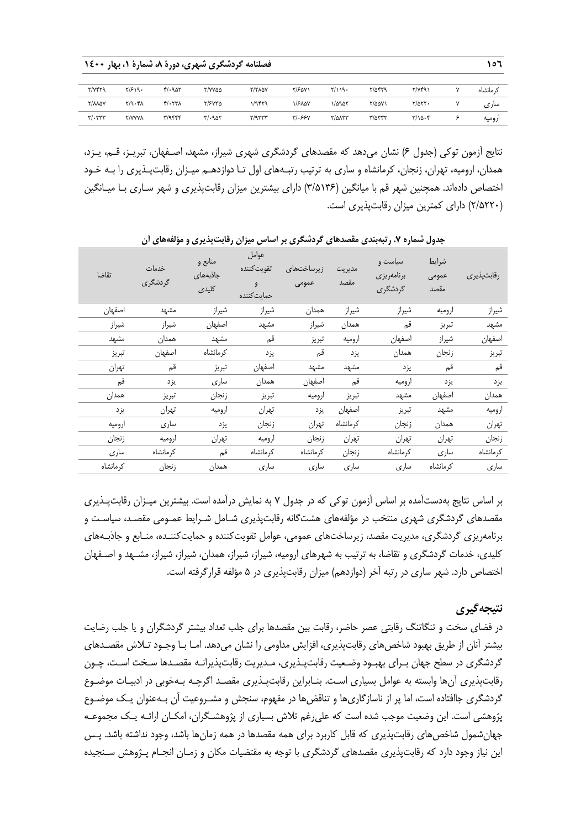| <b>فصلنامه گردشگری شهری، دورهٔ ۸، شمارهٔ ۱، بهار ۱٤۰۰</b> |  |
|-----------------------------------------------------------|--|
|                                                           |  |

| T/VFT9                                          | ۲/۶۱۹۰        | F/AAY        | T/YYQQ    | <b>T/TAQV</b> | ٢/۶۵٧١        | $\mathsf{r}/\mathsf{1}\mathsf{1}\mathsf{q}$ . | $Y/\Delta Y Y$ | Y/Yf91             | ک مانشاہ |
|-------------------------------------------------|---------------|--------------|-----------|---------------|---------------|-----------------------------------------------|----------------|--------------------|----------|
| <b>T/AADY</b>                                   | ۲/۹۰۴۸        | $Y/\cdot YY$ | ۲/۶۷۳۵    | ۱/۹۴۲۹        | <b>۱/۶۸۵۷</b> | 1/0907                                        | ۲/۵۵۷۱         | $Y/\Delta YY$ .    | ساری     |
| $\mathbf{r}/\mathbf{\cdot}\mathbf{r}\mathbf{r}$ | <b>T/YYYA</b> | $T/9$ ۴۴۴    | $r$ . ۹۵۲ | Y/9777        | Y/1.55Y       | <b>T/QATT</b>                                 | $T/\Delta T T$ | $T/\Omega \cdot f$ | اروميه   |

نتایج آزمون توکی (جدول ۶) نشان می دهد که مقصدهای گردشگری شهری شیراز، مشهد، اصـفهان، تبریـز، قـم، یـزد، همدان، ارومیه، تهران، زنجان، کرمانشاه و ساری به ترتیب رتبـههای اول تـا دوازدهـم میـزان رقابتپـذیری را بـه خـود اختصاص دادهاند. همچنین شهر قم با میانگین )3/5136( دارای بیشترین میزان رقابتپذیری و شهر سـاری بـا میـانگین )2/5220( دارای کمترین میزان رقابتپذیری است.

| تقاضا    | خدمات<br>گردشگری | منابع و<br>جاذبههای<br>کلیدی | عوامل<br>تقويت كننده<br>و<br>حمايت كننده | زیرساختها <i>ی</i><br>عمومى | مديريت<br>مقصد | سياست و<br>برنامەريزى<br>گردشگری | شرايط<br>عمومى<br>مقصد | رقابتپذیری |
|----------|------------------|------------------------------|------------------------------------------|-----------------------------|----------------|----------------------------------|------------------------|------------|
| اصفهان   | مشهد             | شيراز                        | شيراز                                    | همدان                       | شيراز          | شيراز                            | اروميه                 | شيراز      |
| شيراز    | شيراز            | اصفهان                       | مشهد                                     | شيراز                       | همدان          | قم                               | تبريز                  | مشهد       |
| مشهد     | همدان            | مشهد                         | قم                                       | تبريز                       | اروميه         | اصفهان                           | شيراز                  | اصفهان     |
| تبريز    | اصفهان           | كرمانشاه                     | يزد                                      | قم                          | يزد            | همدان                            | زنجان                  | تبريز      |
| تهران    | قم               | تبريز                        | اصفهان                                   | مشهد                        | مشهد           | يز د                             | قم                     | قم         |
| قم       | يزد              | سارى                         | همدان                                    | اصفهان                      | قم             | اروميه                           | يزد                    | يزد        |
| همدان    | تبريز            | زنجان                        | تبريز                                    | اروميه                      | تبريز          | مشهد                             | اصفهان                 | همدان      |
| يزد      | تهران            | اروميه                       | تهران                                    | يز د                        | اصفهان         | تبريز                            | مشهد                   | اروميه     |
| اروميه   | سارى             | يزد                          | زنجان                                    | تهران                       | كرمانشاه       | زنجان                            | همدان                  | تهران      |
| زنجان    | اروميه           | تهران                        | اروميه                                   | زنجان                       | تهران          | تهران                            | تهران                  | زنجان      |
| سارى     | كرمانشاه         | قم                           | كرمانشاه                                 | كرمانشاه                    | زنجان          | كرمانشاه                         | سارى                   | كرمانشاه   |
| كرمانشاه | زنجان            | همدان                        | سارى                                     | سارى                        | سارى           | سارى                             | كرمانشاه               | سارى       |

جدول شماره ۷. رتبهبندی مقصدهای گردشگری بر اساس میزان رقابتپذیری و مؤلفههای آن

بر اساس نتایج بهدستآمده بر اساس آزمون توکی که در جدول 7 به نمایش درآمده است. بیشترین میـزان رقابتپـذیری مقصدهای گردشگری شهری منتخب در مؤلفههای هشتگانه رقابتپذیری شـامل شـرایط عمـومی مقصـد، سیاسـت و برنامهریزی گردشگری، مدیریت مقصد، زیرساختهای عمومی، عوامل تقویتکننده و حمایتکننـده، منـابع و جاذبـههای کلیدی، خدمات گردشگری و تقاضا، به ترتیب به شهرهای ارومیه، شیراز، شیراز، همدان، شیراز، شیراز، مشـهد و اصـفهان اختصاص دارد. شهر ساری در رتبه آخر )دوازدهم( میزان رقابتپذیری در 5 مؤلفه قرارگرفته است.

# **نتیجهگیری**

در فضای سخت و تنگاتنگ رقابتی عصر حاضر، رقابت بین مقصدها برای جلب تعداد بیشتر گردشگران و یا جلب رضایت بیشتر آنان از طریق بهبود شاخصهای رقابتپذیری، افزایش مداومی را نشان میدهد. امـا بـا وجـود تـالش مقصـدهای گردشگری در سطح جهان بـرای بهبـود وضـعیت رقابتپـذیری، مـدیریت رقابتپذیرانـه مقصـدها سـخت اسـت، چـون رقابتپذیری آنها وابسته به عوامل بسیاری اسـت. بنـابراین رقابتپـذیری مقصـد اگرچـه بـهخوبی در ادبیـات موضـوع گردشگری جاافتاده است، اما پر از ناسازگاریها و تناقضها در مفهوم، سنجش و مشـروعیت آن بـهعنوان یـک موضـوع پژوهشی است. این وضعیت موجب شده است که علیرغم تالش بسیاری از پژوهشـگران، امکـان ارائـه یـک مجموعـه جهانشمول شاخصهای رقابتپذیری که قابل کاربرد برای همه مقصدها در همه زمانها باشد، وجود نداشته باشد. پـس این نیاز وجود دارد که رقابتپذیری مقصدهای گردشگری با توجه به مقتضیات مکان و زمـان انجـام پـژوهش سـنجیده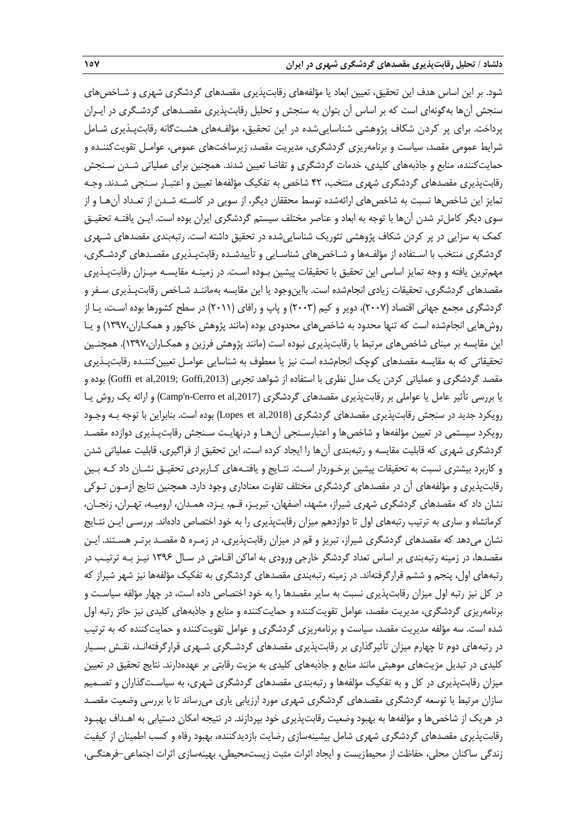شود. بر این اساس هدف این تحقیق، تعیین ابعاد یا مؤلفههای رقابتپذیری مقصدهای گردشگری شهری و شـاخصهای سنجش آنها بهگونهای است که بر اساس آن بتوان به سنجش و تحلیل رقابتپذیری مقصـدهای گردشـگری در ایـران پرداخت. برای پر کردن شکاف پژوهشی شناساییشده در این تحقیق، مؤلفـههای هشـتگانه رقابتپـذیری شـامل شرایط عمومی مقصد، سیاست و برنامهریزی گردشگری، مدیریت مقصد، زیرساختهای عمومی، عوامـل تقویتکننـده و حمایتکننده، منابع و جاذبههای کلیدی، خدمات گردشگری و تقاضا تعیین شدند. همچنین برای عملیاتی شـدن سـنجش رقابتپذیری مقصدهای گردشگری شهری منتخب، 42 شاخص به تفکیک مؤلفهها تعیین و اعتبـار سـنجی شـدند. وجـه تمایز این شاخصها نسبت به شاخصهای ارائهشده توسط محققان دیگر، از سویی در کاسـته شـدن از تعـداد آنهـا و از سوی دیگر کاملتر شدن آنها با توجه به ابعاد و عناصر مختلف سیستم گردشگری ایران بوده است. ایـن یافتـه تحقیـق کمک به سزایی در پر کردن شکاف پژوهشی تئوریک شناساییشده در تحقیق داشته است. رتبهبندی مقصدهای شـهری گردشگری منتخب با اسـتفاده از مؤلفـهها و شـاخصهای شناسـایی و تأییدشـده رقابتپـذیری مقصـدهای گردشـگری، مهمترین یافته و وجه تمایز اساسی این تحقیق با تحقیقات پیشین بـوده اسـت. در زمینـه مقایسـه میـزان رقابتپـذیری مقصدهای گردشگری، تحقیقات زیادی انجامشده است. بااینوجود یا این مقایسه بهماننـد شـاخص رقابتپـذیری سـفر و گردشگری مجمع جهانی اقتصاد (۲۰۰۷)، دویر و کیم (۲۰۰۳) و پاپ و رافای (۲۰۱۱) در سطح کشورها بوده اسـت، یـا از روشهایی انجامشده است که تنها محدود به شاخصهای محدودی بوده (مانند پژوهش خاکپور و همکـاران١٣٩٧٠) و یـا این مقایسه بر مبنای شاخصهای مرتبط با رقابتپذیری نبوده است (مانند پژوهش فرزین و همکـاران،۱۳۹۷). همچنـین تحقیقاتی که به مقایسه مقصدهای کوچک انجامشده است نیز یا معطوف به شناسایی عوامـل تعیینکننـده رقابتپـذیری مقصد گردشگری و عملیاتی کردن یک مدل نظری با استفاده از شواهد تجربی (Goffi et al,2019; Goffi,2013) بوده و یا بررسی تأثیر عامل یا عواملی بر رقابتپذیری مقصدهای گردشگری (Camp'n-Cerro et al,2017) و ارائه یک روش یـا رویکرد جدید در سنجش رقابتپذیری مقصدهای گردشگری ),2018al et Lopes )بوده است. بنابراین با توجه بـه وجـود رویکرد سیستمی در تعیین مؤلفهها و شاخصها و اعتبارسـنجی آنهـا و درنهایـت سـنجش رقابتپـذیری دوازده مقصـد گردشگری شهری که قابلیت مقایسه و رتبهبندی آنها را ایجاد کرده است، این تحقیق از فراگیری، قابلیت عملیاتی شدن و کاربرد بیشتری نسبت به تحقیقات پیشین برخـوردار اسـت. نتـایج و یافتـههای کـاربردی تحقیـق نشـان داد کـه بـین رقابتپذیری و مؤلفههای آن در مقصدهای گردشگری مختلف تفاوت معناداری وجود دارد. همچنین نتایج آزمـون تـوکی نشان داد که مقصدهای گردشگری شهری شیراز، مشهد، اصفهان، تبریـز، قـم، یـزد، همـدان، ارومیـه، تهـران، زنجـان، کرمانشاه و ساری به ترتیب رتبههای اول تا دوازدهم میزان رقابتپذیری را به خود اختصاص دادهاند. بررسـی ایـن نتـایج نشان میدهد که مقصدهای گردشگری شیراز، تبریز و قم در میزان رقابتپذیری، در زمـره 5 مقصـد برتـر هسـتند. ایـن مقصدها، در زمینه رتبهبندی بر اساس تعداد گردشگر خارجی ورودی به اماکن اقـامتی در سـال 1396 نیـز بـه ترتیـب در رتبههای اول، پنجم و ششم قرارگرفتهاند. در زمینه رتبهبندی مقصدهای گردشگری به تفکیک مؤلفهها نیز شهر شیراز که در کل نیز رتبه اول میزان رقابتپذیری نسبت به سایر مقصدها را به خود اختصاص داده است، در چهار مؤلفه سیاسـت و برنامهریزی گردشگری، مدیریت مقصد، عوامل تقویتکننده و حمایتکننده و منابع و جاذبههای کلیدی نیز حائز رتبه اول شده است. سه مؤلفه مدیریت مقصد، سیاست و برنامهریزی گردشگری و عوامل تقویتکننده و حمایتکننده که به ترتیب در رتبههای دوم تا چهارم میزان تأثیرگذاری بر رقابتپذیری مقصدهای گردشـگری شـهری قرارگرفتهانـد، نقـش بسـیار کلیدی در تبدیل مزیتهای موهبتی مانند منابع و جاذبههای کلیدی به مزیت رقابتی بر عهدهدارند. نتایج تحقیق در تعیین میزان رقابتپذیری در کل و به تفکیک مؤلفهها و رتبهبندی مقصدهای گردشگری شهری، به سیاسـتگذاران و تصـمیم سازان مرتبط با توسعه گردشگری مقصدهای گردشگری شهری مورد ارزیابی یاری میرساند تا با بررسی وضعیت مقصـد در هریک از شاخصها و مؤلفهها به بهبود وضعیت رقابتپذیری خود بپردازند. در نتیجه امکان دستیابی به اهـداف بهبـود رقابتپذیری مقصدهای گردشگری شهری شامل بیشینهسازی رضایت بازدیدکننده، بهبود رفاه و کسب اطمینان از کیفیت زندگی ساکنان محلی، حفاظت از محیطزیست و ایجاد اثرات مثبت زیستمحیطی، بهینهسازی اثرات اجتماعی-فرهنگـی،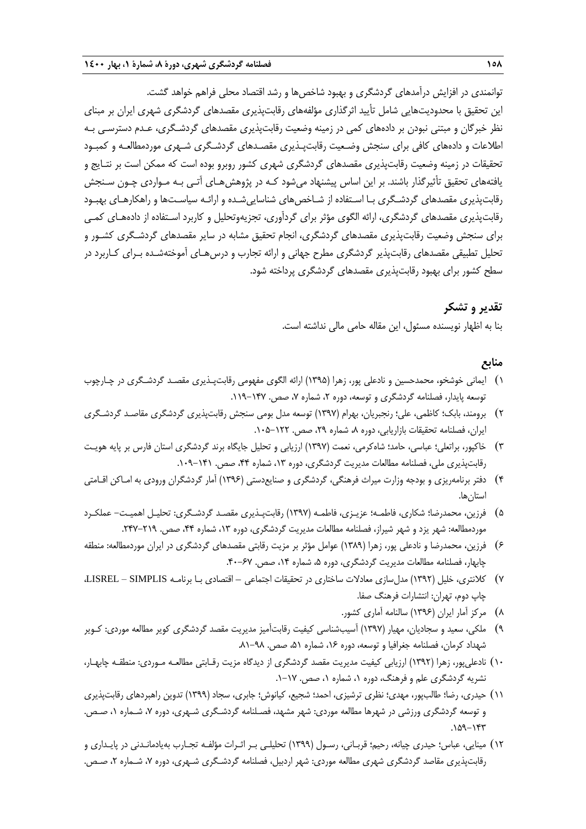توانمندی در افزایش درآمدهای گردشگری و بهبود شاخصها و رشد اقتصاد محلی فراهم خواهد گشت. این تحقیق با محدودیتهایی شامل تأیید اثرگذاری مؤلفههای رقابتپذیری مقصدهای گردشگری شهری ایران بر مبنای نظر خبرگان و مبتنی نبودن بر دادههای کمی در زمینه وضعیت رقابتپذیری مقصدهای گردشـگری، عـدم دسترسـی بـه اطالعات و دادههای کافی برای سنجش وضـعیت رقابتپـذیری مقصـدهای گردشـگری شـهری موردمطالعـه و کمبـود تحقیقات در زمینه وضعیت رقابتپذیری مقصدهای گردشگری شهری کشور روبرو بوده است که ممکن است بر نتـایج و یافتههای تحقیق تأثیرگذار باشند. بر این اساس پیشنهاد میشود کـه در پژوهشهـای آتـی بـه مـواردی چـون سـنجش رقابتپذیری مقصدهای گردشـگری بـا اسـتفاده از شـاخصهای شناساییشـده و ارائـه سیاسـتها و راهکارهـای بهبـود رقابتپذیری مقصدهای گردشگری، ارائه الگوی مؤثر برای گردآوری، تجزیهوتحلیل و کاربرد اسـتفاده از دادههـای کمـی برای سنجش وضعیت رقابتپذیری مقصدهای گردشگری، انجام تحقیق مشابه در سایر مقصدهای گردشـگری کشـور و تحلیل تطبیقی مقصدهای رقابتپذیر گردشگری مطرح جهانی و ارائه تجارب و درسهـای آموختهشـده بـرای کـاربرد در سطح کشور برای بهبود رقابتپذیری مقصدهای گردشگری پرداخته شود.

# **تقدیر و تشکر**

بنا به اظهار نویسنده مسئول، این مقاله حامی مالی نداشته است.

## **منابع**

- 1( ایمانی خوشخو، محمدحسین و نادعلی پور، زهرا )1395( ارائه الگوی مفهومی رقابتپـذیری مقصـد گردشـگری در چـارچوب توسعه پایدار، فصلنامه گردشگری و توسعه، دوره ۲، شماره ۷، صص. ۱۴۷–۱۱۹.
- 2( برومند، بابک؛ کاظمی، علی؛ رنجبریان، بهرام )1397( توسعه مدل بومی سنجش رقابتپذیری گردشگری مقاصـد گردشـگری ایران، فصلنامه تحقیقات بازاریابی، دوره ۸، شماره ۲۹، صص. ۱۲۲-۱۰۵.
- 3( خاکپور، براتعلی؛ عباسی، حامد؛ شاهکرمی، نعمت )1397( ارزیابی و تحلیل جایگاه برند گردشگری استان فارس بر پایه هویـت رقابتپذیری ملی، فصلنامه مطالعات مدیریت گردشگری، دوره ،13 شماره ،44 صص. .109-141
- 4( دفتر برنامهریزی و بودجه وزارت میراث فرهنگی، گردشگری و صنایعدستی )1396( آمار گردشگران ورودی به امـاکن اقـامتی استان ها.
- 5( فرزین، محمدرضا؛ شکاری، فاطمـه؛ عزیـزی، فاطمـه )1397( رقابتپـذیری مقصـد گردشـگری: تحلیـل اهمیـت- عملکـرد موردمطالعه: شهر یزد و شهر شیراز، فصلنامه مطالعات مدیریت گردشگری، دوره ۱۳، شماره ۴۴، صص. ۲۱۹–۲۴۷.
- 6( فرزین، محمدرضا و نادعلی پور، زهرا )1389( عوامل مؤثر بر مزیت رقابتی مقصدهای گردشگری در ایران موردمطالعه: منطقه چابهار، فصلنامه مطالعات مدیریت گردشگری، دوره ۵، شماره ۱۴، صص. ۶۷-۴۰.
- 7( کالنتری، خلیل )1392( مدلسازی معادالت ساختاری در تحقیقات اجتماعی اقتصادی بـا برنامـه SIMPLIS LISREL، چاپ دوم، تهران: انتشارات فرهنگ صفا.
	- 8( مرکز آمار ایران )1396( سالنامه آماری کشور.
- 9( ملکی، سعید و سجادیان، مهیار )1397( آسیبشناسی کیفیت رقابتآمیز مدیریت مقصد گردشگری کویر مطالعه موردی: کـویر شهداد کرمان، فصلنامه جغرافیا و توسعه، دوره ۱۶، شماره ۵۱، صص. ۹۸–۸۱.
- 10( نادعلیپور، زهرا )1392( ارزیابی کیفیت مدیریت مقصد گردشگری از دیدگاه مزیت رقـابتی مطالعـه مـوردی: منطقـه چابهـار، نشریه گردشگری علم و فرهنگ، دوره ۱، شماره ۱، صص. ۱۷-۱۰.
- 11( حیدری، رضا؛ طالبپور، مهدی؛ نظری ترشیزی، احمد؛ شجیع، کیانوش؛ جابری، سجاد )1399( تدوین راهبردهای رقابتپذیری و توسعه گردشگری ورزشی در شهرها مطالعه موردی: شهر مشهد، فصـلنامه گردشـگری شـهری، دوره ۷، شـماره ۱، صـص.  $.109 - 157$
- 12( مینایی، عباس؛ حیدری چیانه، رحیم؛ قربـانی، رسـول )1399( تحلیلـی بـر اثـرات مؤلفـه تجـارب بهیادمانـدنی در پایـداری و رقابتپذیری مقاصد گردشگری شهری مطالعه موردی: شهر اردبیل، فصلنامه گردشـگری شـهری، دوره ،7 شـماره ،2 صـص.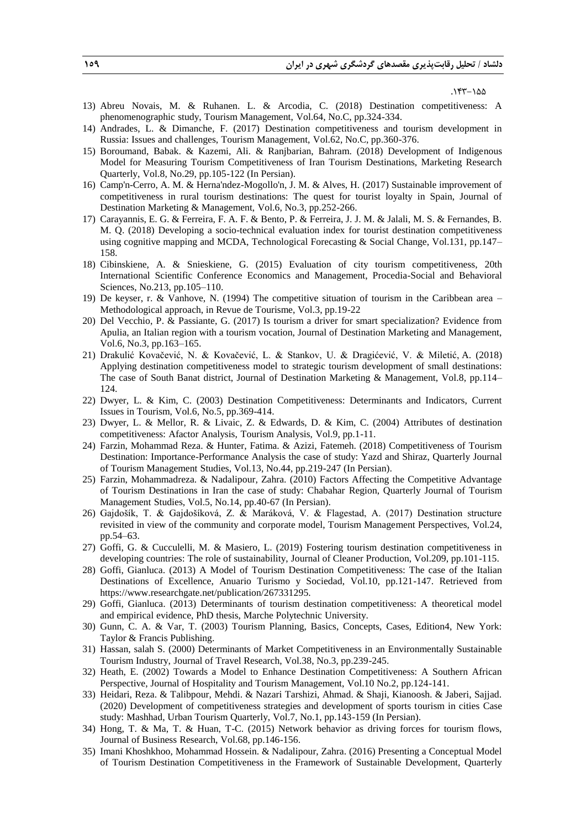$.157 - 100$ 

- 13) Abreu Novais, M. & Ruhanen. L. & Arcodia, C. (2018) Destination competitiveness: A phenomenographic study, Tourism Management, Vol.64, No.C, pp.324-334.
- 14) Andrades, L. & Dimanche, F. (2017) Destination competitiveness and tourism development in Russia: Issues and challenges, Tourism Management, Vol.62, No.C, pp.360-376.
- 15) Boroumand, Babak. & Kazemi, Ali. & Ranjbarian, Bahram. (2018) Development of Indigenous Model for Measuring Tourism Competitiveness of Iran Tourism Destinations, Marketing Research Quarterly, Vol.8, No.29, pp.105-122 (In Persian).
- 16) Camp'n-Cerro, A. M. & Herna'ndez-Mogollo'n, J. M. & Alves, H. (2017) Sustainable improvement of competitiveness in rural tourism destinations: The quest for tourist loyalty in Spain, Journal of Destination Marketing & Management, Vol.6, No.3, pp.252-266.
- 17) Carayannis, E. G. & Ferreira, F. A. F. & Bento, P. & Ferreira, J. J. M. & Jalali, M. S. & Fernandes, B. M. Q. (2018) Developing a socio-technical evaluation index for tourist destination competitiveness using cognitive mapping and MCDA, Technological Forecasting & Social Change, Vol.131, pp.147– 158.
- 18) Cibinskiene, A. & Snieskiene, G. (2015) Evaluation of city tourism competitiveness, 20th International Scientific Conference Economics and Management, Procedia-Social and Behavioral Sciences, No.213, pp.105–110.
- 19) De keyser, r. & Vanhove, N. (1994) The competitive situation of tourism in the Caribbean area Methodological approach, in Revue de Tourisme, Vol.3, pp.19-22
- 20) Del Vecchio, P. & Passiante, G. (2017) Is tourism a driver for smart specialization? Evidence from Apulia, an Italian region with a tourism vocation, Journal of Destination Marketing and Management, Vol.6, No.3, pp.163–165.
- 21) Drakulić Kovačević, N. & Kovačević, L. & Stankov, U. & Dragićević, V. & Miletić, A. (2018) Applying destination competitiveness model to strategic tourism development of small destinations: The case of South Banat district, Journal of Destination Marketing & Management, Vol.8, pp.114– 124.
- 22) Dwyer, L. & Kim, C. (2003) Destination Competitiveness: Determinants and Indicators, Current Issues in Tourism, Vol.6, No.5, pp.369-414.
- 23) Dwyer, L. & Mellor, R. & Livaic, Z. & Edwards, D. & Kim, C. (2004) Attributes of destination competitiveness: Afactor Analysis, Tourism Analysis, Vol.9, pp.1-11.
- 24) Farzin, Mohammad Reza. & Hunter, Fatima. & Azizi, Fatemeh. (2018) Competitiveness of Tourism Destination: Importance-Performance Analysis the case of study: Yazd and Shiraz, Quarterly Journal of Tourism Management Studies, Vol.13, No.44, pp.219-247 (In Persian).
- 25) Farzin, Mohammadreza. & Nadalipour, Zahra. (2010) Factors Affecting the Competitive Advantage of Tourism Destinations in Iran the case of study: Chabahar Region, Quarterly Journal of Tourism Management Studies, Vol.5, No.14, pp.40-67 (In Persian).
- 26) Gajdošík, T. & Gajdošíková, Z. & Maráková, V. & Flagestad, A. (2017) Destination structure revisited in view of the community and corporate model, Tourism Management Perspectives, Vol.24, pp.54–63.
- 27) Goffi, G. & Cucculelli, M. & Masiero, L. (2019) Fostering tourism destination competitiveness in developing countries: The role of sustainability, Journal of Cleaner Production, Vol.209, pp.101-115.
- 28) Goffi, Gianluca. (2013) A Model of Tourism Destination Competitiveness: The case of the Italian Destinations of Excellence, Anuario Turismo y Sociedad, Vol.10, pp.121-147. Retrieved from https://www.researchgate.net/publication/267331295.
- 29) Goffi, Gianluca. (2013) Determinants of tourism destination competitiveness: A theoretical model and empirical evidence, PhD thesis, Marche Polytechnic University.
- 30) Gunn, C. A. & Var, T. (2003) Tourism Planning, Basics, Concepts, Cases, Edition4, New York: Taylor & Francis Publishing.
- 31) Hassan, salah S. (2000) Determinants of Market Competitiveness in an Environmentally Sustainable Tourism Industry, Journal of Travel Research, Vol.38, No.3, pp.239-245.
- 32) Heath, E. (2002) Towards a Model to Enhance Destination Competitiveness: A Southern African Perspective, Journal of Hospitality and Tourism Management, Vol.10 No.2, pp.124-141.
- 33) Heidari, Reza. & Talibpour, Mehdi. & Nazari Tarshizi, Ahmad. & Shaji, Kianoosh. & Jaberi, Sajjad. (2020) Development of competitiveness strategies and development of sports tourism in cities Case study: Mashhad, Urban Tourism Quarterly, Vol.7, No.1, pp.143-159 (In Persian).
- 34) Hong, T. & Ma, T. & Huan, T-C. (2015) Network behavior as driving forces for tourism flows, Journal of Business Research, Vol.68, pp.146-156.
- 35) Imani Khoshkhoo, Mohammad Hossein. & Nadalipour, Zahra. (2016) Presenting a Conceptual Model of Tourism Destination Competitiveness in the Framework of Sustainable Development, Quarterly